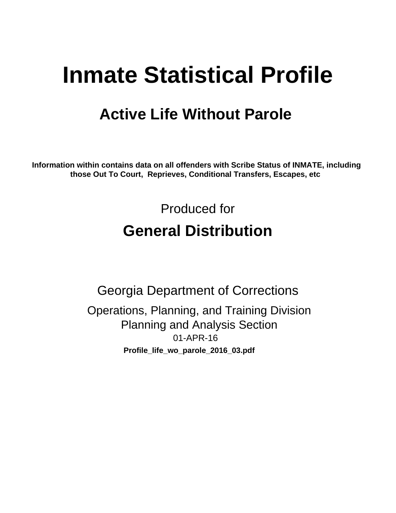# **Inmate Statistical Profile**

## **Active Life Without Parole**

Information within contains data on all offenders with Scribe Status of INMATE, including those Out To Court, Reprieves, Conditional Transfers, Escapes, etc

> Produced for **General Distribution**

**Georgia Department of Corrections** Operations, Planning, and Training Division **Planning and Analysis Section** 01-APR-16 Profile\_life\_wo\_parole\_2016\_03.pdf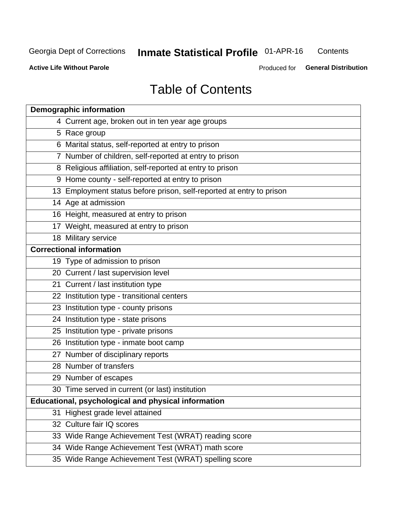#### **Inmate Statistical Profile 01-APR-16** Contents

**Active Life Without Parole** 

Produced for General Distribution

## **Table of Contents**

| <b>Demographic information</b>                                       |
|----------------------------------------------------------------------|
| 4 Current age, broken out in ten year age groups                     |
| 5 Race group                                                         |
| 6 Marital status, self-reported at entry to prison                   |
| 7 Number of children, self-reported at entry to prison               |
| 8 Religious affiliation, self-reported at entry to prison            |
| 9 Home county - self-reported at entry to prison                     |
| 13 Employment status before prison, self-reported at entry to prison |
| 14 Age at admission                                                  |
| 16 Height, measured at entry to prison                               |
| 17 Weight, measured at entry to prison                               |
| 18 Military service                                                  |
| <b>Correctional information</b>                                      |
| 19 Type of admission to prison                                       |
| 20 Current / last supervision level                                  |
| 21 Current / last institution type                                   |
| 22 Institution type - transitional centers                           |
| 23 Institution type - county prisons                                 |
| 24 Institution type - state prisons                                  |
| 25 Institution type - private prisons                                |
| 26 Institution type - inmate boot camp                               |
| 27 Number of disciplinary reports                                    |
| 28 Number of transfers                                               |
| 29 Number of escapes                                                 |
| 30 Time served in current (or last) institution                      |
| Educational, psychological and physical information                  |
| 31 Highest grade level attained                                      |
| 32 Culture fair IQ scores                                            |
| 33 Wide Range Achievement Test (WRAT) reading score                  |
| 34 Wide Range Achievement Test (WRAT) math score                     |
| 35 Wide Range Achievement Test (WRAT) spelling score                 |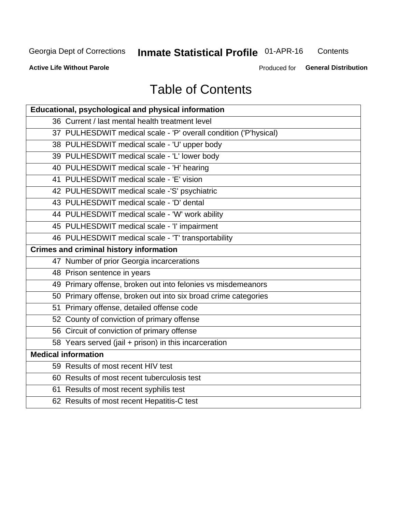## **Inmate Statistical Profile 01-APR-16**

Contents

**Active Life Without Parole** 

Produced for General Distribution

## **Table of Contents**

| Educational, psychological and physical information              |
|------------------------------------------------------------------|
| 36 Current / last mental health treatment level                  |
| 37 PULHESDWIT medical scale - 'P' overall condition ('P'hysical) |
| 38 PULHESDWIT medical scale - 'U' upper body                     |
| 39 PULHESDWIT medical scale - 'L' lower body                     |
| 40 PULHESDWIT medical scale - 'H' hearing                        |
| 41 PULHESDWIT medical scale - 'E' vision                         |
| 42 PULHESDWIT medical scale -'S' psychiatric                     |
| 43 PULHESDWIT medical scale - 'D' dental                         |
| 44 PULHESDWIT medical scale - 'W' work ability                   |
| 45 PULHESDWIT medical scale - 'I' impairment                     |
| 46 PULHESDWIT medical scale - 'T' transportability               |
| <b>Crimes and criminal history information</b>                   |
| 47 Number of prior Georgia incarcerations                        |
| 48 Prison sentence in years                                      |
| 49 Primary offense, broken out into felonies vs misdemeanors     |
| 50 Primary offense, broken out into six broad crime categories   |
| 51 Primary offense, detailed offense code                        |
| 52 County of conviction of primary offense                       |
| 56 Circuit of conviction of primary offense                      |
| 58 Years served (jail + prison) in this incarceration            |
| <b>Medical information</b>                                       |
| 59 Results of most recent HIV test                               |
| 60 Results of most recent tuberculosis test                      |
| 61 Results of most recent syphilis test                          |
| 62 Results of most recent Hepatitis-C test                       |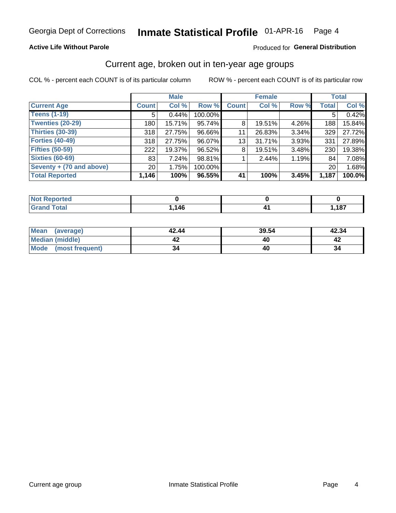### **Active Life Without Parole**

### Produced for General Distribution

## Current age, broken out in ten-year age groups

COL % - percent each COUNT is of its particular column

|                          |                 | <b>Male</b> |         |              | <b>Female</b> |       |              | <b>Total</b> |
|--------------------------|-----------------|-------------|---------|--------------|---------------|-------|--------------|--------------|
| <b>Current Age</b>       | <b>Count</b>    | Col %       | Row %   | <b>Count</b> | Col %         | Row % | <b>Total</b> | Col %        |
| <b>Teens (1-19)</b>      | 5               | 0.44%       | 100.00% |              |               |       | 5            | 0.42%        |
| <b>Twenties (20-29)</b>  | 180             | 15.71%      | 95.74%  | 8            | 19.51%        | 4.26% | 188          | 15.84%       |
| Thirties (30-39)         | 318             | 27.75%      | 96.66%  | 11           | 26.83%        | 3.34% | 329          | 27.72%       |
| <b>Forties (40-49)</b>   | 318             | 27.75%      | 96.07%  | 13           | 31.71%        | 3.93% | 331          | 27.89%       |
| <b>Fifties (50-59)</b>   | 222             | 19.37%      | 96.52%  | 8            | 19.51%        | 3.48% | 230          | 19.38%       |
| <b>Sixties (60-69)</b>   | 83              | 7.24%       | 98.81%  |              | 2.44%         | 1.19% | 84           | 7.08%        |
| Seventy + (70 and above) | 20 <sub>1</sub> | 1.75%       | 100.00% |              |               |       | 20           | 1.68%        |
| <b>Total Reported</b>    | 1,146           | 100%        | 96.55%  | 41           | 100%          | 3.45% | 1,187        | 100.0%       |

| ted -<br>m.           |              |      |
|-----------------------|--------------|------|
| $f \wedge f \wedge f$ | . 14F<br>טדו | ,187 |

| Mean<br>(average)    | 42.44 | 39.54 | 42.34 |
|----------------------|-------|-------|-------|
| Median (middle)      |       |       |       |
| Mode (most frequent) | 34    |       | 34    |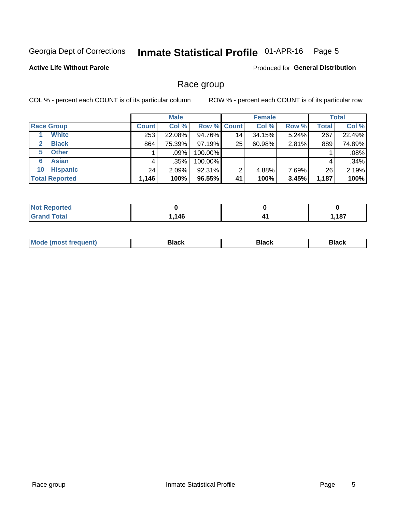#### Inmate Statistical Profile 01-APR-16 Page 5

### **Active Life Without Parole**

Produced for General Distribution

## Race group

COL % - percent each COUNT is of its particular column

|                              | <b>Male</b>  |         |                    | <b>Female</b> |        |       | <b>Total</b> |        |
|------------------------------|--------------|---------|--------------------|---------------|--------|-------|--------------|--------|
| <b>Race Group</b>            | <b>Count</b> | Col %   | <b>Row % Count</b> |               | Col %  | Row % | <b>Total</b> | Col %  |
| <b>White</b>                 | 253          | 22.08%  | 94.76%             | 14            | 34.15% | 5.24% | 267          | 22.49% |
| <b>Black</b><br>$\mathbf{2}$ | 864          | 75.39%  | 97.19%             | 25            | 60.98% | 2.81% | 889          | 74.89% |
| <b>Other</b><br>5.           |              | $.09\%$ | 100.00%            |               |        |       |              | .08%   |
| <b>Asian</b><br>6            | 4            | .35%    | 100.00%            |               |        |       | 4            | .34%   |
| <b>Hispanic</b><br>10        | 24           | 2.09%   | 92.31%             | 2             | 4.88%  | 7.69% | 26           | 2.19%  |
| <b>Total Reported</b>        | 1,146        | 100%    | 96.55%             | 41            | 100%   | 3.45% | 1,187        | 100%   |

| <b>rted</b>  |            |      |
|--------------|------------|------|
| <b>Total</b> | 1AC<br>- 0 | ,187 |

| M | - - - |  |
|---|-------|--|
|   |       |  |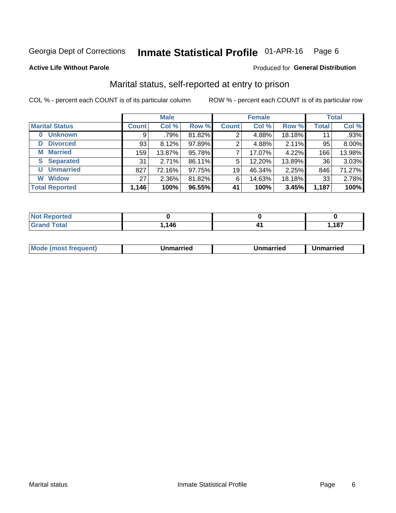#### Inmate Statistical Profile 01-APR-16 Page 6

### **Active Life Without Parole**

### Produced for General Distribution

## Marital status, self-reported at entry to prison

COL % - percent each COUNT is of its particular column

|                            |              | <b>Male</b> |        |              | <b>Female</b> |        |                 | <b>Total</b> |
|----------------------------|--------------|-------------|--------|--------------|---------------|--------|-----------------|--------------|
| <b>Marital Status</b>      | <b>Count</b> | Col %       | Row %  | <b>Count</b> | Col %         | Row %  | <b>Total</b>    | Col %        |
| <b>Unknown</b><br>$\bf{0}$ | 9            | .79%        | 81.82% | 2            | 4.88%         | 18.18% | 11              | .93%         |
| <b>Divorced</b><br>D       | 93           | 8.12%       | 97.89% | 2            | 4.88%         | 2.11%  | 95              | 8.00%        |
| <b>Married</b><br>М        | 159          | 13.87%      | 95.78% | ⇁            | 17.07%        | 4.22%  | 166             | 13.98%       |
| <b>Separated</b><br>S      | 31           | 2.71%       | 86.11% | 5            | 12.20%        | 13.89% | 36 <sub>1</sub> | 3.03%        |
| <b>Unmarried</b><br>U      | 827          | 72.16%      | 97.75% | 19           | 46.34%        | 2.25%  | 846             | 71.27%       |
| <b>Widow</b><br>W          | 27           | 2.36%       | 81.82% | 6            | 14.63%        | 18.18% | 33              | 2.78%        |
| <b>Total Reported</b>      | 1,146        | 100%        | 96.55% | 41           | 100%          | 3.45%  | 1,187           | 100%         |

| rtea<br>NOT    |             |                           |
|----------------|-------------|---------------------------|
| T <sub>1</sub> | 14F<br>. דע | $-407$<br>ı, ı o <i>ı</i> |

|  | Mo | ımarrıed | Unmarried | Unmarried |
|--|----|----------|-----------|-----------|
|--|----|----------|-----------|-----------|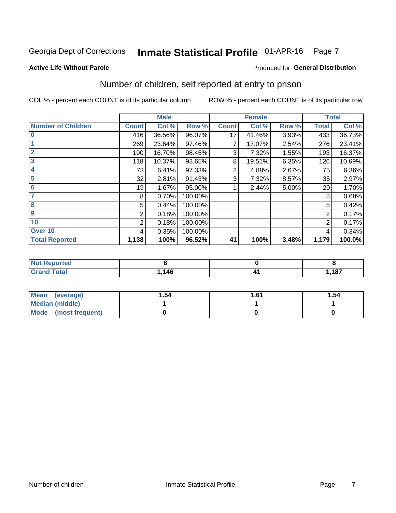#### Inmate Statistical Profile 01-APR-16 Page 7

### **Active Life Without Parole**

### **Produced for General Distribution**

## Number of children, self reported at entry to prison

COL % - percent each COUNT is of its particular column

|                           |                | <b>Male</b> |         |              | <b>Female</b> |       |                | <b>Total</b> |
|---------------------------|----------------|-------------|---------|--------------|---------------|-------|----------------|--------------|
| <b>Number of Children</b> | <b>Count</b>   | Col %       | Row %   | <b>Count</b> | Col %         | Row % | <b>Total</b>   | Col %        |
| $\bf{0}$                  | 416            | 36.56%      | 96.07%  | 17           | 41.46%        | 3.93% | 433            | 36.73%       |
|                           | 269            | 23.64%      | 97.46%  |              | 17.07%        | 2.54% | 276            | 23.41%       |
| $\overline{2}$            | 190            | 16.70%      | 98.45%  | 3            | 7.32%         | 1.55% | 193            | 16.37%       |
| 3                         | 118            | 10.37%      | 93.65%  | 8            | 19.51%        | 6.35% | 126            | 10.69%       |
| 4                         | 73             | 6.41%       | 97.33%  | 2            | 4.88%         | 2.67% | 75             | 6.36%        |
| 5                         | 32             | 2.81%       | 91.43%  | 3            | 7.32%         | 8.57% | 35             | 2.97%        |
| 6                         | 19             | 1.67%       | 95.00%  |              | 2.44%         | 5.00% | 20             | 1.70%        |
| 7                         | 8              | 0.70%       | 100.00% |              |               |       | 8              | 0.68%        |
| 8                         | 5              | 0.44%       | 100.00% |              |               |       | 5              | 0.42%        |
| $\boldsymbol{9}$          | $\overline{2}$ | 0.18%       | 100.00% |              |               |       | 2              | 0.17%        |
| 10                        | 2              | 0.18%       | 100.00% |              |               |       | $\overline{2}$ | 0.17%        |
| Over 10                   | 4              | 0.35%       | 100.00% |              |               |       | 4              | 0.34%        |
| <b>Total Reported</b>     | 1,138          | 100%        | 96.52%  | 41           | 100%          | 3.48% | 1,179          | 100.0%       |

| المستعاد والمستحدث<br>rtea |           |      |
|----------------------------|-----------|------|
| $T \cap f \cap f$<br>tai l | 116<br>4v | ,187 |

| Mean<br>(average)       | 1.54 | 1.61 | 1.54 |
|-------------------------|------|------|------|
| Median (middle)         |      |      |      |
| Mode<br>(most frequent) |      |      |      |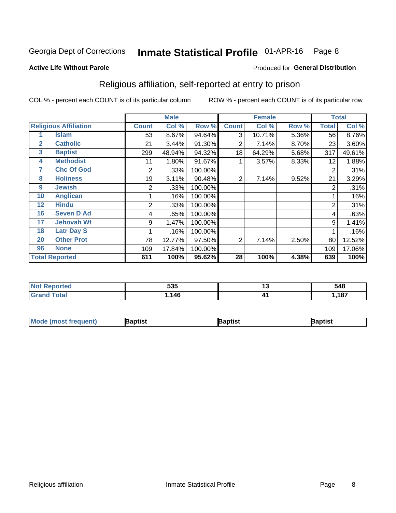#### Inmate Statistical Profile 01-APR-16 Page 8

### **Active Life Without Parole**

### Produced for General Distribution

## Religious affiliation, self-reported at entry to prison

COL % - percent each COUNT is of its particular column

|              |                              |              | <b>Male</b> |         |              | <b>Female</b> |       |                | <b>Total</b> |
|--------------|------------------------------|--------------|-------------|---------|--------------|---------------|-------|----------------|--------------|
|              | <b>Religious Affiliation</b> | <b>Count</b> | Col %       | Row %   | <b>Count</b> | Col %         | Row % | <b>Total</b>   | Col %        |
|              | <b>Islam</b>                 | 53           | 8.67%       | 94.64%  | 3            | 10.71%        | 5.36% | 56             | 8.76%        |
| $\mathbf{2}$ | <b>Catholic</b>              | 21           | 3.44%       | 91.30%  | 2            | 7.14%         | 8.70% | 23             | 3.60%        |
| 3            | <b>Baptist</b>               | 299          | 48.94%      | 94.32%  | 18           | 64.29%        | 5.68% | 317            | 49.61%       |
| 4            | <b>Methodist</b>             | 11           | 1.80%       | 91.67%  |              | 3.57%         | 8.33% | 12             | 1.88%        |
| 7            | <b>Chc Of God</b>            | 2            | .33%        | 100.00% |              |               |       | 2              | .31%         |
| 8            | <b>Holiness</b>              | 19           | 3.11%       | 90.48%  | 2            | 7.14%         | 9.52% | 21             | 3.29%        |
| 9            | <b>Jewish</b>                | 2            | .33%        | 100.00% |              |               |       | $\overline{2}$ | .31%         |
| 10           | <b>Anglican</b>              |              | .16%        | 100.00% |              |               |       |                | .16%         |
| 12           | <b>Hindu</b>                 | 2            | .33%        | 100.00% |              |               |       | $\overline{2}$ | .31%         |
| 16           | <b>Seven D Ad</b>            | 4            | .65%        | 100.00% |              |               |       | 4              | .63%         |
| 17           | <b>Jehovah Wt</b>            | 9            | 1.47%       | 100.00% |              |               |       | 9              | 1.41%        |
| 18           | <b>Latr Day S</b>            |              | .16%        | 100.00% |              |               |       |                | .16%         |
| 20           | <b>Other Prot</b>            | 78           | 12.77%      | 97.50%  | 2            | 7.14%         | 2.50% | 80             | 12.52%       |
| 96           | <b>None</b>                  | 109          | 17.84%      | 100.00% |              |               |       | 109            | 17.06%       |
|              | <b>Total Reported</b>        | 611          | 100%        | 95.62%  | 28           | 100%          | 4.38% | 639            | 100%         |

| нео                        | EOE<br>ວວວ | יי | 548  |
|----------------------------|------------|----|------|
| $\mathcal{L} = 4 \times 7$ | 146        |    | ,187 |

| <b>Mode (most frequent)</b> | Baptist | Baptist | Baptist |
|-----------------------------|---------|---------|---------|
|-----------------------------|---------|---------|---------|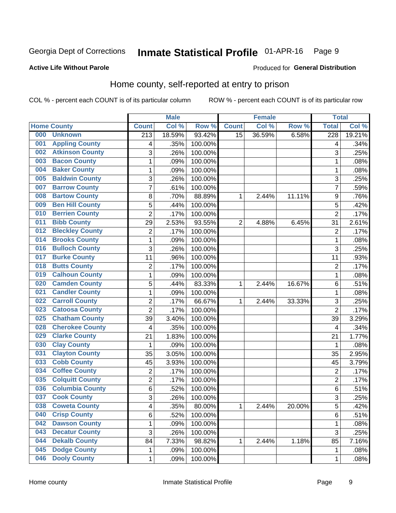#### Inmate Statistical Profile 01-APR-16 Page 9

### **Active Life Without Parole**

### Produced for General Distribution

## Home county, self-reported at entry to prison

COL % - percent each COUNT is of its particular column

|     |                        |                  | <b>Male</b> |         |                | <b>Female</b> |        | <b>Total</b>     |        |
|-----|------------------------|------------------|-------------|---------|----------------|---------------|--------|------------------|--------|
|     | <b>Home County</b>     | <b>Count</b>     | Col %       | Row %   | <b>Count</b>   | Col %         | Row %  | <b>Total</b>     | Col %  |
| 000 | <b>Unknown</b>         | $\overline{213}$ | 18.59%      | 93.42%  | 15             | 36.59%        | 6.58%  | $\overline{228}$ | 19.21% |
| 001 | <b>Appling County</b>  | 4                | .35%        | 100.00% |                |               |        | 4                | .34%   |
| 002 | <b>Atkinson County</b> | 3                | .26%        | 100.00% |                |               |        | 3                | .25%   |
| 003 | <b>Bacon County</b>    | 1                | .09%        | 100.00% |                |               |        | 1                | .08%   |
| 004 | <b>Baker County</b>    | $\mathbf{1}$     | .09%        | 100.00% |                |               |        | 1                | .08%   |
| 005 | <b>Baldwin County</b>  | 3                | .26%        | 100.00% |                |               |        | 3                | .25%   |
| 007 | <b>Barrow County</b>   | $\overline{7}$   | .61%        | 100.00% |                |               |        | 7                | .59%   |
| 008 | <b>Bartow County</b>   | 8                | .70%        | 88.89%  | 1              | 2.44%         | 11.11% | 9                | .76%   |
| 009 | <b>Ben Hill County</b> | 5                | .44%        | 100.00% |                |               |        | 5                | .42%   |
| 010 | <b>Berrien County</b>  | 2                | .17%        | 100.00% |                |               |        | $\overline{2}$   | .17%   |
| 011 | <b>Bibb County</b>     | 29               | 2.53%       | 93.55%  | $\overline{2}$ | 4.88%         | 6.45%  | 31               | 2.61%  |
| 012 | <b>Bleckley County</b> | 2                | .17%        | 100.00% |                |               |        | $\overline{2}$   | .17%   |
| 014 | <b>Brooks County</b>   | $\mathbf{1}$     | .09%        | 100.00% |                |               |        | 1                | .08%   |
| 016 | <b>Bulloch County</b>  | 3                | .26%        | 100.00% |                |               |        | 3                | .25%   |
| 017 | <b>Burke County</b>    | 11               | .96%        | 100.00% |                |               |        | 11               | .93%   |
| 018 | <b>Butts County</b>    | 2                | .17%        | 100.00% |                |               |        | $\overline{2}$   | .17%   |
| 019 | <b>Calhoun County</b>  | 1                | .09%        | 100.00% |                |               |        | 1                | .08%   |
| 020 | <b>Camden County</b>   | 5                | .44%        | 83.33%  | 1              | 2.44%         | 16.67% | 6                | .51%   |
| 021 | <b>Candler County</b>  | $\mathbf{1}$     | .09%        | 100.00% |                |               |        | 1                | .08%   |
| 022 | <b>Carroll County</b>  | 2                | .17%        | 66.67%  | 1              | 2.44%         | 33.33% | 3                | .25%   |
| 023 | <b>Catoosa County</b>  | $\overline{2}$   | .17%        | 100.00% |                |               |        | $\overline{2}$   | .17%   |
| 025 | <b>Chatham County</b>  | 39               | 3.40%       | 100.00% |                |               |        | 39               | 3.29%  |
| 028 | <b>Cherokee County</b> | 4                | .35%        | 100.00% |                |               |        | 4                | .34%   |
| 029 | <b>Clarke County</b>   | 21               | 1.83%       | 100.00% |                |               |        | 21               | 1.77%  |
| 030 | <b>Clay County</b>     | 1                | .09%        | 100.00% |                |               |        | 1                | .08%   |
| 031 | <b>Clayton County</b>  | 35               | 3.05%       | 100.00% |                |               |        | 35               | 2.95%  |
| 033 | <b>Cobb County</b>     | 45               | 3.93%       | 100.00% |                |               |        | 45               | 3.79%  |
| 034 | <b>Coffee County</b>   | 2                | .17%        | 100.00% |                |               |        | $\overline{2}$   | .17%   |
| 035 | <b>Colquitt County</b> | $\overline{2}$   | .17%        | 100.00% |                |               |        | $\overline{2}$   | .17%   |
| 036 | <b>Columbia County</b> | 6                | .52%        | 100.00% |                |               |        | 6                | .51%   |
| 037 | <b>Cook County</b>     | 3                | .26%        | 100.00% |                |               |        | 3                | .25%   |
| 038 | <b>Coweta County</b>   | 4                | .35%        | 80.00%  | 1              | 2.44%         | 20.00% | 5                | .42%   |
| 040 | <b>Crisp County</b>    | 6                | .52%        | 100.00% |                |               |        | 6                | .51%   |
| 042 | <b>Dawson County</b>   | 1                | .09%        | 100.00% |                |               |        | 1                | .08%   |
| 043 | <b>Decatur County</b>  | $\overline{3}$   | .26%        | 100.00% |                |               |        | 3                | .25%   |
| 044 | <b>Dekalb County</b>   | 84               | 7.33%       | 98.82%  | 1              | 2.44%         | 1.18%  | 85               | 7.16%  |
| 045 | <b>Dodge County</b>    | 1                | .09%        | 100.00% |                |               |        | 1                | .08%   |
| 046 | <b>Dooly County</b>    | 1                | .09%        | 100.00% |                |               |        | 1                | .08%   |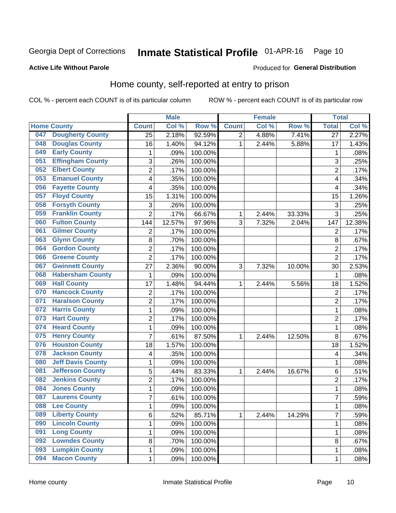#### Inmate Statistical Profile 01-APR-16 Page 10

### **Active Life Without Parole**

### Produced for General Distribution

## Home county, self-reported at entry to prison

COL % - percent each COUNT is of its particular column

|     |                          |                | <b>Male</b> |         |                | <b>Female</b> |        | <b>Total</b>   |        |
|-----|--------------------------|----------------|-------------|---------|----------------|---------------|--------|----------------|--------|
|     | <b>Home County</b>       | <b>Count</b>   | Col %       | Row %   | <b>Count</b>   | Col %         | Row %  | <b>Total</b>   | Col %  |
| 047 | <b>Dougherty County</b>  | 25             | 2.18%       | 92.59%  | $\overline{2}$ | 4.88%         | 7.41%  | 27             | 2.27%  |
| 048 | <b>Douglas County</b>    | 16             | 1.40%       | 94.12%  | 1              | 2.44%         | 5.88%  | 17             | 1.43%  |
| 049 | <b>Early County</b>      | 1              | .09%        | 100.00% |                |               |        | 1              | .08%   |
| 051 | <b>Effingham County</b>  | 3              | .26%        | 100.00% |                |               |        | 3              | .25%   |
| 052 | <b>Elbert County</b>     | $\overline{c}$ | .17%        | 100.00% |                |               |        | $\overline{2}$ | .17%   |
| 053 | <b>Emanuel County</b>    | 4              | .35%        | 100.00% |                |               |        | 4              | .34%   |
| 056 | <b>Fayette County</b>    | 4              | .35%        | 100.00% |                |               |        | $\overline{4}$ | .34%   |
| 057 | <b>Floyd County</b>      | 15             | 1.31%       | 100.00% |                |               |        | 15             | 1.26%  |
| 058 | <b>Forsyth County</b>    | 3              | .26%        | 100.00% |                |               |        | 3              | .25%   |
| 059 | <b>Franklin County</b>   | $\overline{2}$ | .17%        | 66.67%  | 1              | 2.44%         | 33.33% | 3              | .25%   |
| 060 | <b>Fulton County</b>     | 144            | 12.57%      | 97.96%  | 3              | 7.32%         | 2.04%  | 147            | 12.38% |
| 061 | <b>Gilmer County</b>     | $\overline{2}$ | .17%        | 100.00% |                |               |        | $\overline{2}$ | .17%   |
| 063 | <b>Glynn County</b>      | 8              | .70%        | 100.00% |                |               |        | 8              | .67%   |
| 064 | <b>Gordon County</b>     | $\overline{2}$ | .17%        | 100.00% |                |               |        | $\overline{2}$ | .17%   |
| 066 | <b>Greene County</b>     | $\overline{2}$ | .17%        | 100.00% |                |               |        | $\overline{2}$ | .17%   |
| 067 | <b>Gwinnett County</b>   | 27             | 2.36%       | 90.00%  | 3              | 7.32%         | 10.00% | 30             | 2.53%  |
| 068 | <b>Habersham County</b>  | $\mathbf 1$    | .09%        | 100.00% |                |               |        | 1              | .08%   |
| 069 | <b>Hall County</b>       | 17             | 1.48%       | 94.44%  | 1              | 2.44%         | 5.56%  | 18             | 1.52%  |
| 070 | <b>Hancock County</b>    | 2              | .17%        | 100.00% |                |               |        | $\overline{2}$ | .17%   |
| 071 | <b>Haralson County</b>   | $\overline{2}$ | .17%        | 100.00% |                |               |        | $\overline{2}$ | .17%   |
| 072 | <b>Harris County</b>     | $\mathbf 1$    | .09%        | 100.00% |                |               |        | 1              | .08%   |
| 073 | <b>Hart County</b>       | $\overline{2}$ | .17%        | 100.00% |                |               |        | $\overline{2}$ | .17%   |
| 074 | <b>Heard County</b>      | $\mathbf 1$    | .09%        | 100.00% |                |               |        | 1              | .08%   |
| 075 | <b>Henry County</b>      | $\overline{7}$ | .61%        | 87.50%  | 1              | 2.44%         | 12.50% | 8              | .67%   |
| 076 | <b>Houston County</b>    | 18             | 1.57%       | 100.00% |                |               |        | 18             | 1.52%  |
| 078 | <b>Jackson County</b>    | 4              | .35%        | 100.00% |                |               |        | 4              | .34%   |
| 080 | <b>Jeff Davis County</b> | $\mathbf 1$    | .09%        | 100.00% |                |               |        | 1              | .08%   |
| 081 | <b>Jefferson County</b>  | 5              | .44%        | 83.33%  | 1              | 2.44%         | 16.67% | 6              | .51%   |
| 082 | <b>Jenkins County</b>    | $\overline{c}$ | .17%        | 100.00% |                |               |        | $\overline{2}$ | .17%   |
| 084 | <b>Jones County</b>      | $\mathbf{1}$   | .09%        | 100.00% |                |               |        | 1              | .08%   |
| 087 | <b>Laurens County</b>    | $\overline{7}$ | .61%        | 100.00% |                |               |        | 7              | .59%   |
| 088 | <b>Lee County</b>        | 1              | .09%        | 100.00% |                |               |        | 1              | .08%   |
| 089 | <b>Liberty County</b>    | 6              | .52%        | 85.71%  | $\mathbf{1}$   | 2.44%         | 14.29% | 7              | .59%   |
| 090 | <b>Lincoln County</b>    | $\mathbf{1}$   | .09%        | 100.00% |                |               |        | 1              | .08%   |
| 091 | <b>Long County</b>       | $\mathbf{1}$   | .09%        | 100.00% |                |               |        | 1              | .08%   |
| 092 | <b>Lowndes County</b>    | 8              | .70%        | 100.00% |                |               |        | 8              | .67%   |
| 093 | <b>Lumpkin County</b>    | $\mathbf{1}$   | .09%        | 100.00% |                |               |        | 1              | .08%   |
| 094 | <b>Macon County</b>      | $\mathbf{1}$   | .09%        | 100.00% |                |               |        | 1              | .08%   |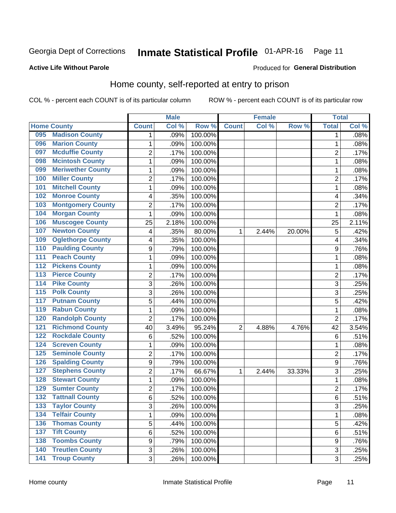#### Inmate Statistical Profile 01-APR-16 Page 11

### **Active Life Without Parole**

### Produced for General Distribution

## Home county, self-reported at entry to prison

COL % - percent each COUNT is of its particular column

|                  |                          |                         | <b>Male</b> |         |              | <b>Female</b> |        | <b>Total</b>   |       |
|------------------|--------------------------|-------------------------|-------------|---------|--------------|---------------|--------|----------------|-------|
|                  | <b>Home County</b>       | <b>Count</b>            | Col %       | Row %   | <b>Count</b> | Col %         | Row %  | <b>Total</b>   | Col % |
| 095              | <b>Madison County</b>    | 1                       | .09%        | 100.00% |              |               |        | 1              | .08%  |
| 096              | <b>Marion County</b>     | $\mathbf{1}$            | .09%        | 100.00% |              |               |        | 1              | .08%  |
| 097              | <b>Mcduffie County</b>   | $\overline{c}$          | .17%        | 100.00% |              |               |        | $\overline{c}$ | .17%  |
| 098              | <b>Mcintosh County</b>   | $\mathbf{1}$            | .09%        | 100.00% |              |               |        | 1              | .08%  |
| 099              | <b>Meriwether County</b> | $\mathbf{1}$            | .09%        | 100.00% |              |               |        | 1              | .08%  |
| 100              | <b>Miller County</b>     | $\overline{2}$          | .17%        | 100.00% |              |               |        | $\overline{2}$ | .17%  |
| 101              | <b>Mitchell County</b>   | $\mathbf{1}$            | .09%        | 100.00% |              |               |        | 1              | .08%  |
| 102              | <b>Monroe County</b>     | 4                       | .35%        | 100.00% |              |               |        | 4              | .34%  |
| 103              | <b>Montgomery County</b> | 2                       | .17%        | 100.00% |              |               |        | $\overline{c}$ | .17%  |
| 104              | <b>Morgan County</b>     | $\mathbf{1}$            | .09%        | 100.00% |              |               |        | 1              | .08%  |
| 106              | <b>Muscogee County</b>   | 25                      | 2.18%       | 100.00% |              |               |        | 25             | 2.11% |
| 107              | <b>Newton County</b>     | 4                       | .35%        | 80.00%  | 1            | 2.44%         | 20.00% | 5              | .42%  |
| 109              | <b>Oglethorpe County</b> | $\overline{\mathbf{4}}$ | .35%        | 100.00% |              |               |        | 4              | .34%  |
| 110              | <b>Paulding County</b>   | $\boldsymbol{9}$        | .79%        | 100.00% |              |               |        | 9              | .76%  |
| 111              | <b>Peach County</b>      | $\mathbf{1}$            | .09%        | 100.00% |              |               |        | 1              | .08%  |
| 112              | <b>Pickens County</b>    | $\mathbf{1}$            | .09%        | 100.00% |              |               |        | 1              | .08%  |
| 113              | <b>Pierce County</b>     | $\overline{2}$          | .17%        | 100.00% |              |               |        | 2              | .17%  |
| 114              | <b>Pike County</b>       | 3                       | .26%        | 100.00% |              |               |        | 3              | .25%  |
| $\overline{115}$ | <b>Polk County</b>       | 3                       | .26%        | 100.00% |              |               |        | 3              | .25%  |
| 117              | <b>Putnam County</b>     | $\sqrt{5}$              | .44%        | 100.00% |              |               |        | 5              | .42%  |
| 119              | <b>Rabun County</b>      | $\mathbf{1}$            | .09%        | 100.00% |              |               |        | 1              | .08%  |
| 120              | <b>Randolph County</b>   | $\overline{2}$          | .17%        | 100.00% |              |               |        | $\overline{2}$ | .17%  |
| 121              | <b>Richmond County</b>   | 40                      | 3.49%       | 95.24%  | 2            | 4.88%         | 4.76%  | 42             | 3.54% |
| 122              | <b>Rockdale County</b>   | 6                       | .52%        | 100.00% |              |               |        | 6              | .51%  |
| 124              | <b>Screven County</b>    | $\mathbf{1}$            | .09%        | 100.00% |              |               |        | 1              | .08%  |
| 125              | <b>Seminole County</b>   | $\overline{2}$          | .17%        | 100.00% |              |               |        | $\overline{2}$ | .17%  |
| 126              | <b>Spalding County</b>   | $\mathsf g$             | .79%        | 100.00% |              |               |        | 9              | .76%  |
| 127              | <b>Stephens County</b>   | $\overline{2}$          | .17%        | 66.67%  | 1            | 2.44%         | 33.33% | 3              | .25%  |
| 128              | <b>Stewart County</b>    | $\mathbf{1}$            | .09%        | 100.00% |              |               |        | 1              | .08%  |
| 129              | <b>Sumter County</b>     | $\overline{2}$          | .17%        | 100.00% |              |               |        | $\overline{c}$ | .17%  |
| 132              | <b>Tattnall County</b>   | 6                       | .52%        | 100.00% |              |               |        | 6              | .51%  |
| 133              | <b>Taylor County</b>     | 3                       | .26%        | 100.00% |              |               |        | 3              | .25%  |
| 134              | <b>Telfair County</b>    | $\mathbf{1}$            | .09%        | 100.00% |              |               |        | 1              | .08%  |
| 136              | <b>Thomas County</b>     | 5                       | .44%        | 100.00% |              |               |        | 5              | .42%  |
| 137              | <b>Tift County</b>       | 6                       | .52%        | 100.00% |              |               |        | 6              | .51%  |
| 138              | <b>Toombs County</b>     | $\boldsymbol{9}$        | .79%        | 100.00% |              |               |        | 9              | .76%  |
| 140              | <b>Treutlen County</b>   | 3                       | .26%        | 100.00% |              |               |        | 3              | .25%  |
| 141              | <b>Troup County</b>      | 3                       | .26%        | 100.00% |              |               |        | 3              | .25%  |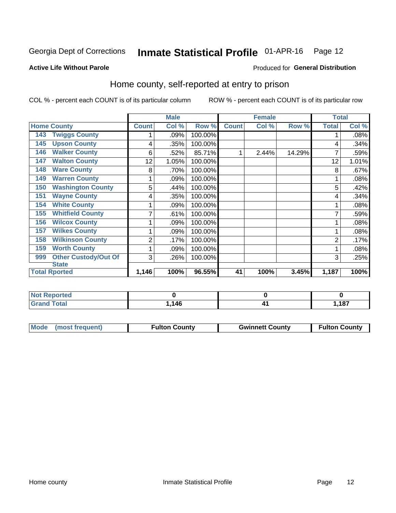## Inmate Statistical Profile 01-APR-16 Page 12

### **Active Life Without Parole**

### Produced for General Distribution

## Home county, self-reported at entry to prison

COL % - percent each COUNT is of its particular column

|                                    |              | <b>Male</b> |         |              | <b>Female</b> |        | <b>Total</b> |       |
|------------------------------------|--------------|-------------|---------|--------------|---------------|--------|--------------|-------|
| <b>Home County</b>                 | <b>Count</b> | Col %       | Row %   | <b>Count</b> | Col %         | Row %  | <b>Total</b> | Col % |
| <b>Twiggs County</b><br>143        |              | .09%        | 100.00% |              |               |        |              | .08%  |
| <b>Upson County</b><br>145         | 4            | .35%        | 100.00% |              |               |        | 4            | .34%  |
| <b>Walker County</b><br>146        | 6            | .52%        | 85.71%  |              | 2.44%         | 14.29% |              | .59%  |
| <b>Walton County</b><br>147        | 12           | 1.05%       | 100.00% |              |               |        | 12           | 1.01% |
| <b>Ware County</b><br>148          | 8            | .70%        | 100.00% |              |               |        | 8            | .67%  |
| <b>Warren County</b><br>149        | 1            | .09%        | 100.00% |              |               |        |              | .08%  |
| <b>Washington County</b><br>150    | 5            | .44%        | 100.00% |              |               |        | 5            | .42%  |
| <b>Wayne County</b><br>151         | 4            | .35%        | 100.00% |              |               |        | 4            | .34%  |
| <b>White County</b><br>154         |              | .09%        | 100.00% |              |               |        |              | .08%  |
| <b>Whitfield County</b><br>155     | 7            | .61%        | 100.00% |              |               |        |              | .59%  |
| <b>Wilcox County</b><br>156        | 1            | .09%        | 100.00% |              |               |        |              | .08%  |
| <b>Wilkes County</b><br>157        |              | .09%        | 100.00% |              |               |        |              | .08%  |
| <b>Wilkinson County</b><br>158     | 2            | .17%        | 100.00% |              |               |        | 2            | .17%  |
| <b>Worth County</b><br>159         |              | .09%        | 100.00% |              |               |        |              | .08%  |
| <b>Other Custody/Out Of</b><br>999 | 3            | .26%        | 100.00% |              |               |        | 3            | .25%  |
| <b>State</b>                       |              |             |         |              |               |        |              |       |
| <b>Total Rported</b>               | 1,146        | 100%        | 96.55%  | 41           | 100%          | 3.45%  | 1,187        | 100%  |

| ported<br>m. |               |     |       |
|--------------|---------------|-----|-------|
| $\sim$       | 146<br>$\sim$ | . . | 1,187 |

| Mode (most frequent) | <b>Fulton County</b> | <b>Gwinnett County</b> | <b>Fulton County</b> |
|----------------------|----------------------|------------------------|----------------------|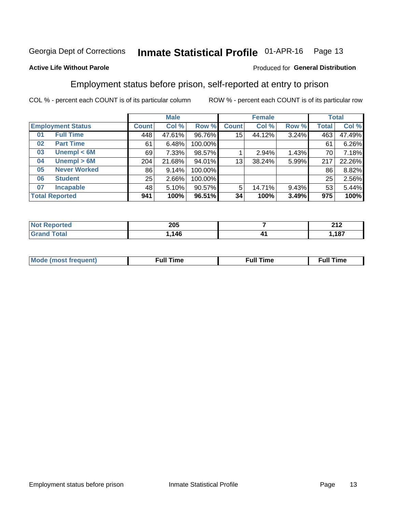#### Inmate Statistical Profile 01-APR-16 Page 13

### **Active Life Without Parole**

### Produced for General Distribution

## Employment status before prison, self-reported at entry to prison

COL % - percent each COUNT is of its particular column

|                           |              | <b>Male</b> |         |              | <b>Female</b> |       |       | <b>Total</b> |
|---------------------------|--------------|-------------|---------|--------------|---------------|-------|-------|--------------|
| <b>Employment Status</b>  | <b>Count</b> | Col %       | Row %   | <b>Count</b> | Col %         | Row % | Total | Col %        |
| <b>Full Time</b><br>01    | 448          | 47.61%      | 96.76%  | 15           | 44.12%        | 3.24% | 463   | 47.49%       |
| <b>Part Time</b><br>02    | 61           | 6.48%       | 100.00% |              |               |       | 61    | 6.26%        |
| Unempl $<$ 6M<br>03       | 69           | 7.33%       | 98.57%  |              | 2.94%         | 1.43% | 70    | 7.18%        |
| Unempl $> 6M$<br>04       | 204          | 21.68%      | 94.01%  | 13           | 38.24%        | 5.99% | 217   | 22.26%       |
| <b>Never Worked</b><br>05 | 86           | 9.14%       | 100.00% |              |               |       | 86    | 8.82%        |
| <b>Student</b><br>06      | 25           | 2.66%       | 100.00% |              |               |       | 25    | 2.56%        |
| <b>Incapable</b><br>07    | 481          | 5.10%       | 90.57%  | 5            | 14.71%        | 9.43% | 53    | 5.44%        |
| <b>Total Reported</b>     | 941          | 100%        | 96.51%  | 34           | 100%          | 3.49% | 975   | 100%         |

| 205       |    | 24c<br>- - - |
|-----------|----|--------------|
| .11C<br>. | ,, | 407          |

| Mc | ∴ull | ----<br>ıme<br>w |
|----|------|------------------|
|    |      |                  |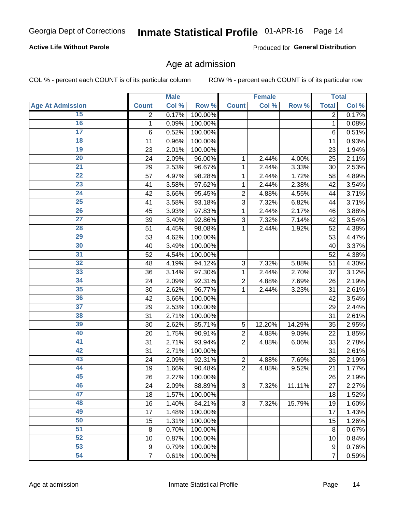### **Active Life Without Parole**

Produced for General Distribution

## Age at admission

COL % - percent each COUNT is of its particular column

|                         |                 | <b>Male</b> |         |                           | <b>Female</b> |        |                | <b>Total</b> |
|-------------------------|-----------------|-------------|---------|---------------------------|---------------|--------|----------------|--------------|
| <b>Age At Admission</b> | <b>Count</b>    | Col %       | Row %   | <b>Count</b>              | Col %         | Row %  | <b>Total</b>   | Col %        |
| 15                      | $\overline{2}$  | 0.17%       | 100.00% |                           |               |        | $\overline{2}$ | 0.17%        |
| 16                      | 1               | 0.09%       | 100.00% |                           |               |        | $\mathbf{1}$   | 0.08%        |
| $\overline{17}$         | $6\phantom{1}6$ | 0.52%       | 100.00% |                           |               |        | 6              | 0.51%        |
| 18                      | 11              | 0.96%       | 100.00% |                           |               |        | 11             | 0.93%        |
| 19                      | 23              | 2.01%       | 100.00% |                           |               |        | 23             | 1.94%        |
| $\overline{20}$         | 24              | 2.09%       | 96.00%  | 1                         | 2.44%         | 4.00%  | 25             | 2.11%        |
| 21                      | 29              | 2.53%       | 96.67%  | 1                         | 2.44%         | 3.33%  | 30             | 2.53%        |
| $\overline{22}$         | 57              | 4.97%       | 98.28%  | 1                         | 2.44%         | 1.72%  | 58             | 4.89%        |
| 23                      | 41              | 3.58%       | 97.62%  | 1                         | 2.44%         | 2.38%  | 42             | 3.54%        |
| 24                      | 42              | 3.66%       | 95.45%  | $\overline{2}$            | 4.88%         | 4.55%  | 44             | 3.71%        |
| 25                      | 41              | 3.58%       | 93.18%  | 3                         | 7.32%         | 6.82%  | 44             | 3.71%        |
| 26                      | 45              | 3.93%       | 97.83%  | 1                         | 2.44%         | 2.17%  | 46             | 3.88%        |
| $\overline{27}$         | 39              | 3.40%       | 92.86%  | 3                         | 7.32%         | 7.14%  | 42             | 3.54%        |
| 28                      | 51              | 4.45%       | 98.08%  | 1                         | 2.44%         | 1.92%  | 52             | 4.38%        |
| 29                      | 53              | 4.62%       | 100.00% |                           |               |        | 53             | 4.47%        |
| 30                      | 40              | 3.49%       | 100.00% |                           |               |        | 40             | 3.37%        |
| $\overline{31}$         | 52              | 4.54%       | 100.00% |                           |               |        | 52             | 4.38%        |
| $\overline{32}$         | 48              | 4.19%       | 94.12%  | $\ensuremath{\mathsf{3}}$ | 7.32%         | 5.88%  | 51             | 4.30%        |
| 33                      | 36              | 3.14%       | 97.30%  | 1                         | 2.44%         | 2.70%  | 37             | 3.12%        |
| 34                      | 24              | 2.09%       | 92.31%  | $\overline{2}$            | 4.88%         | 7.69%  | 26             | 2.19%        |
| 35                      | 30              | 2.62%       | 96.77%  | 1                         | 2.44%         | 3.23%  | 31             | 2.61%        |
| 36                      | 42              | 3.66%       | 100.00% |                           |               |        | 42             | 3.54%        |
| $\overline{37}$         | 29              | 2.53%       | 100.00% |                           |               |        | 29             | 2.44%        |
| 38                      | 31              | 2.71%       | 100.00% |                           |               |        | 31             | 2.61%        |
| 39                      | 30              | 2.62%       | 85.71%  | 5                         | 12.20%        | 14.29% | 35             | 2.95%        |
| 40                      | 20              | 1.75%       | 90.91%  | $\overline{c}$            | 4.88%         | 9.09%  | 22             | 1.85%        |
| 41                      | 31              | 2.71%       | 93.94%  | $\overline{2}$            | 4.88%         | 6.06%  | 33             | 2.78%        |
| 42                      | 31              | 2.71%       | 100.00% |                           |               |        | 31             | 2.61%        |
| 43                      | 24              | 2.09%       | 92.31%  | $\mathbf 2$               | 4.88%         | 7.69%  | 26             | 2.19%        |
| 44                      | 19              | 1.66%       | 90.48%  | $\overline{2}$            | 4.88%         | 9.52%  | 21             | 1.77%        |
| 45                      | 26              | 2.27%       | 100.00% |                           |               |        | 26             | 2.19%        |
| 46                      | 24              | 2.09%       | 88.89%  | $\sqrt{3}$                | 7.32%         | 11.11% | 27             | 2.27%        |
| 47                      | 18              | 1.57%       | 100.00% |                           |               |        | 18             | 1.52%        |
| 48                      | 16              | 1.40%       | 84.21%  | 3                         | 7.32%         | 15.79% | 19             | 1.60%        |
| 49                      | 17              | 1.48%       | 100.00% |                           |               |        | 17             | 1.43%        |
| 50                      | 15              | 1.31%       | 100.00% |                           |               |        | 15             | 1.26%        |
| $\overline{51}$         | 8               | 0.70%       | 100.00% |                           |               |        | 8              | 0.67%        |
| 52                      | 10              | 0.87%       | 100.00% |                           |               |        | 10             | 0.84%        |
| 53                      | 9               | 0.79%       | 100.00% |                           |               |        | 9              | 0.76%        |
| 54                      | $\overline{7}$  | 0.61%       | 100.00% |                           |               |        | $\overline{7}$ | 0.59%        |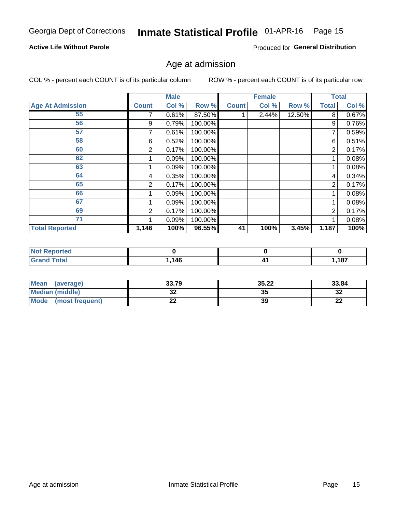#### Inmate Statistical Profile 01-APR-16 Page 15

### **Active Life Without Parole**

Produced for General Distribution

## Age at admission

COL % - percent each COUNT is of its particular column

|                         |              | <b>Male</b> |         |              | <b>Female</b> |        |                | <b>Total</b> |
|-------------------------|--------------|-------------|---------|--------------|---------------|--------|----------------|--------------|
| <b>Age At Admission</b> | <b>Count</b> | Col %       | Row %   | <b>Count</b> | Col %         | Row %  | <b>Total</b>   | Col %        |
| 55                      |              | 0.61%       | 87.50%  |              | 2.44%         | 12.50% | 8              | 0.67%        |
| 56                      | 9            | 0.79%       | 100.00% |              |               |        | 9              | 0.76%        |
| 57                      |              | 0.61%       | 100.00% |              |               |        | 7              | 0.59%        |
| 58                      | 6            | 0.52%       | 100.00% |              |               |        | 6              | 0.51%        |
| 60                      | 2            | 0.17%       | 100.00% |              |               |        | 2              | 0.17%        |
| 62                      |              | 0.09%       | 100.00% |              |               |        |                | 0.08%        |
| 63                      |              | 0.09%       | 100.00% |              |               |        |                | 0.08%        |
| 64                      | 4            | 0.35%       | 100.00% |              |               |        | 4              | 0.34%        |
| 65                      | 2            | 0.17%       | 100.00% |              |               |        | $\overline{2}$ | 0.17%        |
| 66                      |              | 0.09%       | 100.00% |              |               |        |                | 0.08%        |
| 67                      |              | 0.09%       | 100.00% |              |               |        |                | 0.08%        |
| 69                      | 2            | 0.17%       | 100.00% |              |               |        | 2              | 0.17%        |
| 71                      |              | 0.09%       | 100.00% |              |               |        |                | 0.08%        |
| <b>Total Reported</b>   | 1,146        | 100%        | 96.55%  | 41           | 100%          | 3.45%  | 1,187          | 100%         |

| <b>Not Reported</b> |      |      |
|---------------------|------|------|
| <b>Grand Total</b>  | .146 | ,187 |

| <b>Mean</b><br>(average) | 33.79 | 35.22 | 33.84    |
|--------------------------|-------|-------|----------|
| Median (middle)          | JZ    | 35    | າາ<br>∠د |
| Mode<br>(most frequent)  | --    | 39    | n.<br>LL |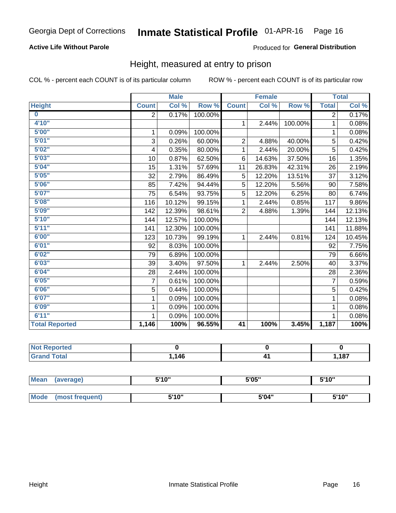## **Active Life Without Parole**

### Produced for General Distribution

## Height, measured at entry to prison

COL % - percent each COUNT is of its particular column

|                       |                | <b>Male</b> |         |                | <b>Female</b> |         |                | <b>Total</b> |
|-----------------------|----------------|-------------|---------|----------------|---------------|---------|----------------|--------------|
| <b>Height</b>         | <b>Count</b>   | Col %       | Row %   | <b>Count</b>   | Col %         | Row %   | <b>Total</b>   | Col %        |
| $\bf{0}$              | $\overline{2}$ | 0.17%       | 100.00% |                |               |         | $\overline{2}$ | 0.17%        |
| 4'10''                |                |             |         | $\mathbf{1}$   | 2.44%         | 100.00% | 1              | 0.08%        |
| 5'00''                | 1              | 0.09%       | 100.00% |                |               |         | 1              | 0.08%        |
| 5'01"                 | 3              | 0.26%       | 60.00%  | $\overline{2}$ | 4.88%         | 40.00%  | 5              | 0.42%        |
| 5'02"                 | 4              | 0.35%       | 80.00%  | 1              | 2.44%         | 20.00%  | 5              | 0.42%        |
| 5'03''                | 10             | 0.87%       | 62.50%  | 6              | 14.63%        | 37.50%  | 16             | 1.35%        |
| 5'04"                 | 15             | 1.31%       | 57.69%  | 11             | 26.83%        | 42.31%  | 26             | 2.19%        |
| 5'05"                 | 32             | 2.79%       | 86.49%  | 5              | 12.20%        | 13.51%  | 37             | 3.12%        |
| 5'06''                | 85             | 7.42%       | 94.44%  | 5              | 12.20%        | 5.56%   | 90             | 7.58%        |
| 5'07''                | 75             | 6.54%       | 93.75%  | 5              | 12.20%        | 6.25%   | 80             | 6.74%        |
| 5'08''                | 116            | 10.12%      | 99.15%  | 1              | 2.44%         | 0.85%   | 117            | 9.86%        |
| 5'09''                | 142            | 12.39%      | 98.61%  | $\overline{2}$ | 4.88%         | 1.39%   | 144            | 12.13%       |
| 5'10''                | 144            | 12.57%      | 100.00% |                |               |         | 144            | 12.13%       |
| 5'11''                | 141            | 12.30%      | 100.00% |                |               |         | 141            | 11.88%       |
| 6'00''                | 123            | 10.73%      | 99.19%  | $\mathbf{1}$   | 2.44%         | 0.81%   | 124            | 10.45%       |
| 6'01''                | 92             | 8.03%       | 100.00% |                |               |         | 92             | 7.75%        |
| 6'02"                 | 79             | 6.89%       | 100.00% |                |               |         | 79             | 6.66%        |
| 6'03''                | 39             | 3.40%       | 97.50%  | $\mathbf{1}$   | 2.44%         | 2.50%   | 40             | 3.37%        |
| 6'04"                 | 28             | 2.44%       | 100.00% |                |               |         | 28             | 2.36%        |
| 6'05"                 | 7              | 0.61%       | 100.00% |                |               |         | 7              | 0.59%        |
| 6'06''                | 5              | 0.44%       | 100.00% |                |               |         | 5              | 0.42%        |
| 6'07''                | 1              | 0.09%       | 100.00% |                |               |         | 1              | 0.08%        |
| 6'09''                | 1              | 0.09%       | 100.00% |                |               |         | 1              | 0.08%        |
| 6'11''                | 1              | 0.09%       | 100.00% |                |               |         | 1              | 0.08%        |
| <b>Total Reported</b> | 1,146          | 100%        | 96.55%  | 41             | 100%          | 3.45%   | 1,187          | 100%         |

| <b>Not Reported</b> |            |      |
|---------------------|------------|------|
| <i>i</i> otal       | 146<br>-74 | ,187 |

| <b>Mean</b> | (average)       | 5'10" | 5'05" | 5'10" |
|-------------|-----------------|-------|-------|-------|
|             |                 |       |       |       |
| <b>Mode</b> | (most frequent) | 5'10" | 5'04" | 5'10" |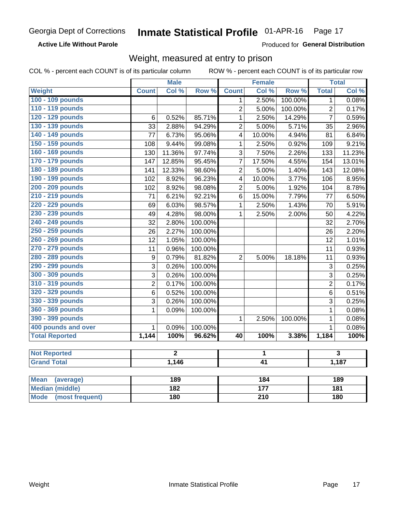### **Active Life Without Parole**

Produced for General Distribution

## Weight, measured at entry to prison

COL % - percent each COUNT is of its particular column

|                       |                  | <b>Male</b> |         | <b>Female</b>           |                 |         | <b>Total</b>   |        |  |
|-----------------------|------------------|-------------|---------|-------------------------|-----------------|---------|----------------|--------|--|
| Weight                | <b>Count</b>     | Col%        | Row %   | <b>Count</b>            | Col %           | Row %   | <b>Total</b>   | Col %  |  |
| 100 - 109 pounds      |                  |             |         | 1                       | 2.50%           | 100.00% | 1              | 0.08%  |  |
| 110 - 119 pounds      |                  |             |         | $\overline{2}$          | 5.00%           | 100.00% | $\overline{2}$ | 0.17%  |  |
| 120 - 129 pounds      | 6                | 0.52%       | 85.71%  | $\mathbf{1}$            | 2.50%           | 14.29%  | $\overline{7}$ | 0.59%  |  |
| 130 - 139 pounds      | 33               | 2.88%       | 94.29%  | $\overline{2}$          | 5.00%           | 5.71%   | 35             | 2.96%  |  |
| 140 - 149 pounds      | 77               | 6.73%       | 95.06%  | $\overline{\mathbf{4}}$ | 10.00%          | 4.94%   | 81             | 6.84%  |  |
| 150 - 159 pounds      | 108              | 9.44%       | 99.08%  | $\mathbf{1}$            | 2.50%           | 0.92%   | 109            | 9.21%  |  |
| 160 - 169 pounds      | 130              | 11.36%      | 97.74%  | 3                       | 7.50%           | 2.26%   | 133            | 11.23% |  |
| 170 - 179 pounds      | 147              | 12.85%      | 95.45%  | 7                       | 17.50%          | 4.55%   | 154            | 13.01% |  |
| 180 - 189 pounds      | 141              | 12.33%      | 98.60%  | $\overline{2}$          | 5.00%           | 1.40%   | 143            | 12.08% |  |
| 190 - 199 pounds      | 102              | 8.92%       | 96.23%  | 4                       | 10.00%          | 3.77%   | 106            | 8.95%  |  |
| 200 - 209 pounds      | 102              | 8.92%       | 98.08%  | $\overline{2}$          | 5.00%           | 1.92%   | 104            | 8.78%  |  |
| 210 - 219 pounds      | 71               | 6.21%       | 92.21%  | $6\phantom{1}$          | 15.00%          | 7.79%   | 77             | 6.50%  |  |
| 220 - 229 pounds      | 69               | 6.03%       | 98.57%  | $\mathbf{1}$            | 2.50%           | 1.43%   | 70             | 5.91%  |  |
| 230 - 239 pounds      | 49               | 4.28%       | 98.00%  | $\mathbf{1}$            | 2.50%           | 2.00%   | 50             | 4.22%  |  |
| 240 - 249 pounds      | 32               | 2.80%       | 100.00% |                         |                 |         | 32             | 2.70%  |  |
| 250 - 259 pounds      | 26               | 2.27%       | 100.00% |                         |                 |         | 26             | 2.20%  |  |
| 260 - 269 pounds      | 12               | 1.05%       | 100.00% |                         |                 |         | 12             | 1.01%  |  |
| 270 - 279 pounds      | 11               | 0.96%       | 100.00% |                         |                 |         | 11             | 0.93%  |  |
| 280 - 289 pounds      | $\boldsymbol{9}$ | 0.79%       | 81.82%  | $\overline{2}$          | 5.00%           | 18.18%  | 11             | 0.93%  |  |
| 290 - 299 pounds      | $\overline{3}$   | 0.26%       | 100.00% |                         |                 |         | 3              | 0.25%  |  |
| 300 - 309 pounds      | 3                | 0.26%       | 100.00% |                         |                 |         | $\overline{3}$ | 0.25%  |  |
| 310 - 319 pounds      | $\overline{2}$   | 0.17%       | 100.00% |                         |                 |         | $\overline{2}$ | 0.17%  |  |
| 320 - 329 pounds      | $\overline{6}$   | 0.52%       | 100.00% |                         |                 |         | 6              | 0.51%  |  |
| 330 - 339 pounds      | $\overline{3}$   | 0.26%       | 100.00% |                         |                 |         | 3              | 0.25%  |  |
| 360 - 369 pounds      | $\mathbf{1}$     | 0.09%       | 100.00% |                         |                 |         | $\mathbf{1}$   | 0.08%  |  |
| 390 - 399 pounds      |                  |             |         | $\mathbf{1}$            | 2.50%           | 100.00% | $\mathbf{1}$   | 0.08%  |  |
| 400 pounds and over   | $\mathbf 1$      | 0.09%       | 100.00% |                         |                 |         | $\mathbf{1}$   | 0.08%  |  |
| <b>Total Reported</b> | 1,144            | 100%        | 96.62%  | 40                      | 100%            | 3.38%   | 1,184          | 100%   |  |
| <b>Not Reported</b>   |                  | $\mathbf 2$ |         | 1                       |                 |         | 3              |        |  |
| <b>Grand Total</b>    |                  | 1,146       |         |                         | $\overline{41}$ |         |                | 1,187  |  |

| Mean<br>(average)       | 189 | 184   | 189 |
|-------------------------|-----|-------|-----|
| <b>Median (middle)</b>  | 182 | 1 7 7 | 181 |
| Mode<br>(most frequent) | 180 | 210   | 180 |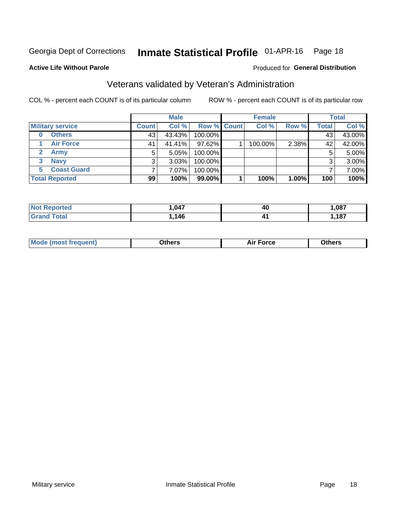#### Inmate Statistical Profile 01-APR-16 Page 18

### **Active Life Without Parole**

### Produced for General Distribution

## Veterans validated by Veteran's Administration

COL % - percent each COUNT is of its particular column

|                          | <b>Male</b>  |        |             | <b>Female</b> |         |       | <b>Total</b> |        |
|--------------------------|--------------|--------|-------------|---------------|---------|-------|--------------|--------|
| <b>Military service</b>  | <b>Count</b> | Col %  | Row % Count |               | Col %   | Row % | <b>Total</b> | Col %  |
| <b>Others</b><br>0       | 43           | 43.43% | 100.00%     |               |         |       | 43           | 43.00% |
| <b>Air Force</b>         | 41           | 41.41% | 97.62%      |               | 100.00% | 2.38% | 42           | 42.00% |
| Army                     | 5            | 5.05%  | 100.00%     |               |         |       | 5            | 5.00%  |
| <b>Navy</b><br>3         |              | 3.03%  | 100.00%     |               |         |       | 3            | 3.00%  |
| <b>Coast Guard</b><br>5. |              | 7.07%  | 100.00%     |               |         |       |              | 7.00%  |
| <b>Total Reported</b>    | 99           | 100%   | $99.00\%$   |               | 100%    | 1.00% | 100          | 100%   |

| neo         | ,047        | 40 | 1,087 |
|-------------|-------------|----|-------|
| $C = 4 - 7$ | 146<br>- TV |    | ,187  |

| ____<br>____ |
|--------------|
|--------------|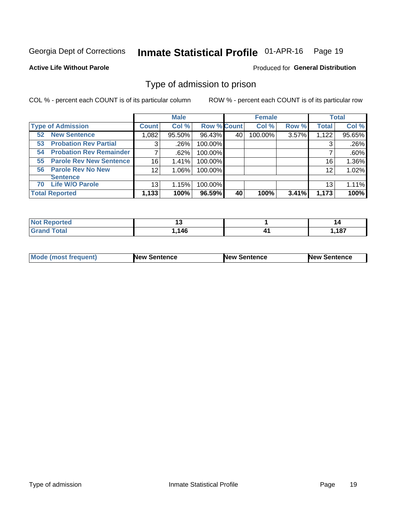#### Inmate Statistical Profile 01-APR-16 Page 19

**Active Life Without Parole** 

Produced for General Distribution

## Type of admission to prison

COL % - percent each COUNT is of its particular column

|                                      |                 | <b>Male</b> |                    |    | <b>Female</b> |       |                 | <b>Total</b> |
|--------------------------------------|-----------------|-------------|--------------------|----|---------------|-------|-----------------|--------------|
| <b>Type of Admission</b>             | <b>Count</b>    | Col %       | <b>Row % Count</b> |    | Col %         | Row % | <b>Total</b>    | Col %        |
| <b>New Sentence</b><br>52            | 1,082           | 95.50%      | 96.43%             | 40 | 100.00%       | 3.57% | 1,122           | 95.65%       |
| <b>Probation Rev Partial</b><br>53   | 3               | $.26\%$     | 100.00%            |    |               |       | 3               | .26%         |
| <b>Probation Rev Remainder</b><br>54 |                 | .62%        | 100.00%            |    |               |       |                 | .60%         |
| <b>Parole Rev New Sentence</b><br>55 | 16              | 1.41%       | 100.00%            |    |               |       | 16 <sub>1</sub> | 1.36%        |
| 56 Parole Rev No New                 | 12 <sub>2</sub> | 1.06%       | 100.00%            |    |               |       | 12              | 1.02%        |
| <b>Sentence</b>                      |                 |             |                    |    |               |       |                 |              |
| <b>Life W/O Parole</b><br>70         | 13              | 1.15%       | 100.00%            |    |               |       | 13              | 1.11%        |
| <b>Total Reported</b>                | 1,133           | 100%        | 96.59%             | 40 | 100%          | 3.41% | 1,173           | 100%         |

| <b>Not Reported</b><br>.<br>. |              |            | 14    |
|-------------------------------|--------------|------------|-------|
| Total                         | 1 A C<br>- 1 | 71<br>–∎ ∗ | 1,187 |

| <b>Mode (most frequent)</b> | <b>New Sentence</b> | <b>New Sentence</b> | <b>New Sentence</b> |
|-----------------------------|---------------------|---------------------|---------------------|
|                             |                     |                     |                     |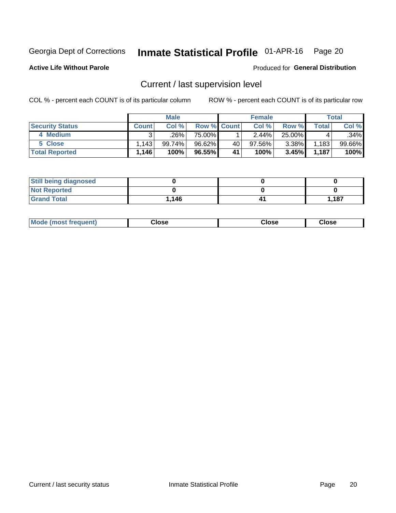## Inmate Statistical Profile 01-APR-16 Page 20

**Active Life Without Parole** 

### Produced for General Distribution

## Current / last supervision level

COL % - percent each COUNT is of its particular column

|                        |                  | <b>Male</b> |             |    | <b>Female</b> |          |       | <b>Total</b> |
|------------------------|------------------|-------------|-------------|----|---------------|----------|-------|--------------|
| <b>Security Status</b> | <b>Count</b>     | Col %       | Row % Count |    | Col %         | Row %    | Total | Col %        |
| 4 Medium               |                  | ل26%.       | 75.00%      |    | 2.44%         | 25.00%   |       | .34%         |
| 5 Close                | .143             | 99.74%।     | 96.62%      | 40 | 97.56%        | $3.38\%$ | 1,183 | $99.66\%$    |
| <b>Total Reported</b>  | $.146$ $^\prime$ | 100%        | 96.55%      | 41 | 100%          | 3.45%    | 1,187 | 100%         |

| <b>Still being diagnosed</b> |       |       |
|------------------------------|-------|-------|
| <b>Not Reported</b>          |       |       |
| <b>Grand Total</b>           | 1.146 | 1,187 |

| <b>Mode (most frequent)</b> | Close | ∵lose | Close |
|-----------------------------|-------|-------|-------|
|                             |       |       |       |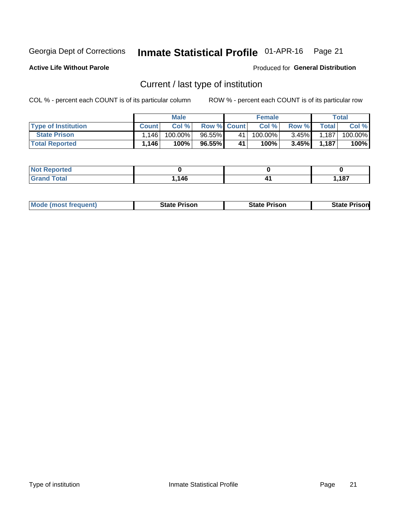#### Inmate Statistical Profile 01-APR-16 Page 21

**Active Life Without Parole** 

Produced for General Distribution

## Current / last type of institution

COL % - percent each COUNT is of its particular column

|                            |              | <b>Male</b> |                    |    | <b>Female</b> |          |       | Total   |
|----------------------------|--------------|-------------|--------------------|----|---------------|----------|-------|---------|
| <b>Type of Institution</b> | <b>Count</b> | Col %       | <b>Row % Count</b> |    | Col %         | Row %    | Total | Col %   |
| <b>State Prison</b>        | 1.146        | 100.00%     | 96.55%             | 41 | 100.00%       | $3.45\%$ | 1,187 | 100.00% |
| <b>Total Reported</b>      | 1,146        | 100%        | 96.55%             | 41 | 100%          | 3.45%    | 1,187 | 100%    |

| <b>rted</b><br>. |            |              |
|------------------|------------|--------------|
|                  | 116<br>טדו | 107<br>1 U I |

|  | <b>Mode (most frequent)</b> | State Prison | <b>State Prison</b> | <b>State Prison</b> |
|--|-----------------------------|--------------|---------------------|---------------------|
|--|-----------------------------|--------------|---------------------|---------------------|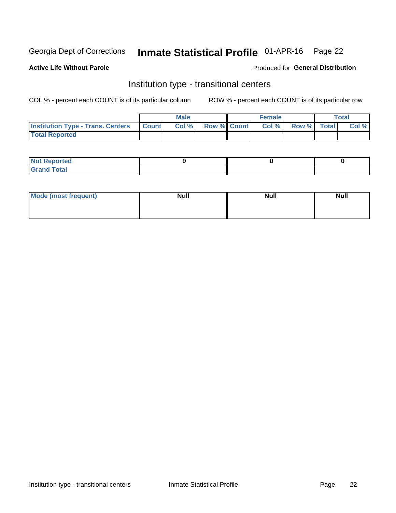## Inmate Statistical Profile 01-APR-16 Page 22

### **Active Life Without Parole**

### Produced for General Distribution

## Institution type - transitional centers

COL % - percent each COUNT is of its particular column

|                                                | Male  |                    | <b>Female</b> |                   | Total |
|------------------------------------------------|-------|--------------------|---------------|-------------------|-------|
| <b>Institution Type - Trans. Centers Count</b> | Col % | <b>Row % Count</b> |               | Col % Row % Total | Col % |
| <b>Total Reported</b>                          |       |                    |               |                   |       |

| <b>Reported</b><br><b>NOT</b><br>$\sim$            |  |  |
|----------------------------------------------------|--|--|
| $f$ $f \circ f \circ f$<br>$C = 1$<br><b>TULAI</b> |  |  |

| Mode (most frequent) | <b>Null</b> | <b>Null</b> | <b>Null</b> |
|----------------------|-------------|-------------|-------------|
|                      |             |             |             |
|                      |             |             |             |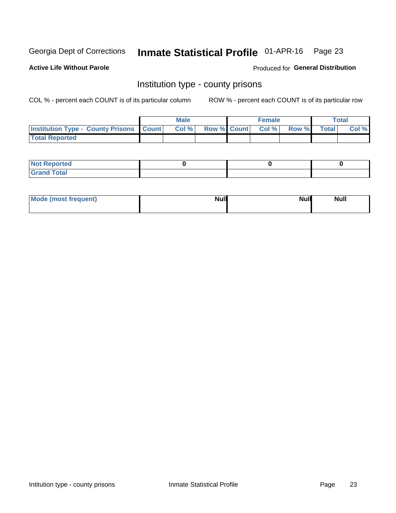## Inmate Statistical Profile 01-APR-16 Page 23

**Active Life Without Parole** 

Produced for General Distribution

## Institution type - county prisons

COL % - percent each COUNT is of its particular column

|                                                    | <b>Male</b> |  | <b>Female</b>            |             | <b>Total</b> |
|----------------------------------------------------|-------------|--|--------------------------|-------------|--------------|
| <b>Institution Type - County Prisons   Count  </b> | Col %       |  | <b>Row % Count Col %</b> | Row % Total | Col %        |
| <b>Total Reported</b>                              |             |  |                          |             |              |

| <b>Not Reported</b>   |  |  |
|-----------------------|--|--|
| <b>Total</b><br>Granc |  |  |

| Mode (most frequent) | <b>Null</b> | <b>Null</b><br><b>Null</b> |
|----------------------|-------------|----------------------------|
|                      |             |                            |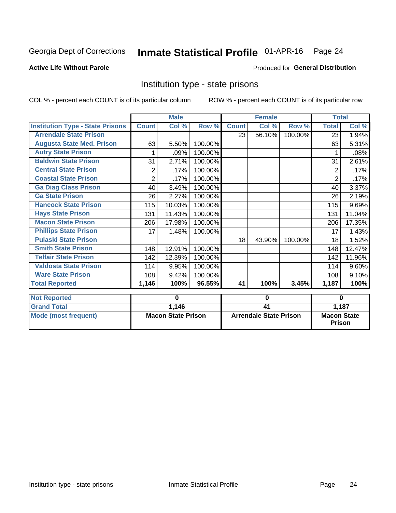#### Inmate Statistical Profile 01-APR-16 Page 24

### **Active Life Without Parole**

### Produced for General Distribution

## Institution type - state prisons

COL % - percent each COUNT is of its particular column

ROW % - percent each COUNT is of its particular row

|                                         |                | <b>Male</b>               |         |              | <b>Female</b>          |         | <b>Total</b>       |                    |
|-----------------------------------------|----------------|---------------------------|---------|--------------|------------------------|---------|--------------------|--------------------|
| <b>Institution Type - State Prisons</b> | <b>Count</b>   | Col %                     | Row %   | <b>Count</b> | Col %                  | Row %   | <b>Total</b>       | Col %              |
| <b>Arrendale State Prison</b>           |                |                           |         | 23           | 56.10%                 | 100.00% | 23                 | 1.94%              |
| <b>Augusta State Med. Prison</b>        | 63             | 5.50%                     | 100.00% |              |                        |         | 63                 | 5.31%              |
| <b>Autry State Prison</b>               |                | .09%                      | 100.00% |              |                        |         |                    | .08%               |
| <b>Baldwin State Prison</b>             | 31             | 2.71%                     | 100.00% |              |                        |         | 31                 | 2.61%              |
| <b>Central State Prison</b>             | 2              | .17%                      | 100.00% |              |                        |         | 2                  | .17%               |
| <b>Coastal State Prison</b>             | $\overline{2}$ | .17%                      | 100.00% |              |                        |         | $\overline{2}$     | .17%               |
| <b>Ga Diag Class Prison</b>             | 40             | 3.49%                     | 100.00% |              |                        |         | 40                 | 3.37%              |
| <b>Ga State Prison</b>                  | 26             | 2.27%                     | 100.00% |              |                        |         | 26                 | 2.19%              |
| <b>Hancock State Prison</b>             | 115            | 10.03%                    | 100.00% |              |                        |         | 115                | 9.69%              |
| <b>Hays State Prison</b>                | 131            | 11.43%                    | 100.00% |              |                        |         | 131                | 11.04%             |
| <b>Macon State Prison</b>               | 206            | 17.98%                    | 100.00% |              |                        |         | 206                | 17.35%             |
| <b>Phillips State Prison</b>            | 17             | 1.48%                     | 100.00% |              |                        |         | 17                 | 1.43%              |
| <b>Pulaski State Prison</b>             |                |                           |         | 18           | 43.90%                 | 100.00% | 18                 | 1.52%              |
| <b>Smith State Prison</b>               | 148            | 12.91%                    | 100.00% |              |                        |         | 148                | 12.47%             |
| <b>Telfair State Prison</b>             | 142            | 12.39%                    | 100.00% |              |                        |         | 142                | 11.96%             |
| <b>Valdosta State Prison</b>            | 114            | 9.95%                     | 100.00% |              |                        |         | 114                | 9.60%              |
| <b>Ware State Prison</b>                | 108            | 9.42%                     | 100.00% |              |                        |         | 108                | 9.10%              |
| <b>Total Reported</b>                   | 1,146          | 100%                      | 96.55%  | 41           | 100%                   | 3.45%   | 1,187              | $\overline{100\%}$ |
| <b>Not Reported</b>                     |                | 0                         |         |              | 0                      |         | 0                  |                    |
| <b>Grand Total</b>                      |                | 1,146                     |         |              | $\overline{41}$        |         |                    | 1,187              |
| Mode (most frequent)                    |                | <b>Macon State Prison</b> |         |              | Arrendale State Prison |         | <b>Macon State</b> |                    |

Prison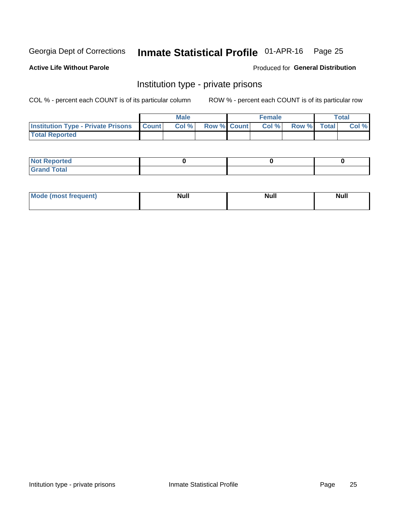## Inmate Statistical Profile 01-APR-16 Page 25

### **Active Life Without Parole**

### Produced for General Distribution

## Institution type - private prisons

COL % - percent each COUNT is of its particular column

|                                                 | <b>Male</b> |                    | <b>Female</b> |             | Total |
|-------------------------------------------------|-------------|--------------------|---------------|-------------|-------|
| <b>Institution Type - Private Prisons Count</b> | Col %       | <b>Row % Count</b> | Col %         | Row % Total | Col % |
| <b>Total Reported</b>                           |             |                    |               |             |       |

| Not Reported          |  |  |
|-----------------------|--|--|
| <b>Cotal</b><br>_____ |  |  |

| <b>Mo</b><br>frequent) | <b>Null</b> | <b>Null</b> | . . I *<br><b>IVUII</b> |
|------------------------|-------------|-------------|-------------------------|
|                        |             |             |                         |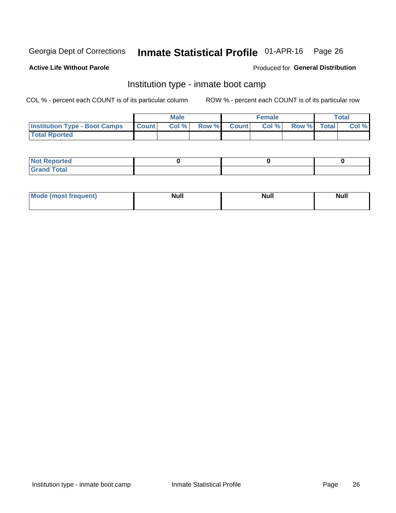#### Inmate Statistical Profile 01-APR-16 Page 26

### **Active Life Without Parole**

### Produced for General Distribution

## Institution type - inmate boot camp

COL % - percent each COUNT is of its particular column

|                                      |              | <b>Male</b> |               |              | <b>Female</b> |             | <b>Total</b> |
|--------------------------------------|--------------|-------------|---------------|--------------|---------------|-------------|--------------|
| <b>Institution Type - Boot Camps</b> | <b>Count</b> | Col %       | <b>Row %I</b> | <b>Count</b> | Col %         | Row % Total | Col %        |
| <b>Total Rported</b>                 |              |             |               |              |               |             |              |

| <b>Not Reported</b>            |  |  |
|--------------------------------|--|--|
| <b>Total</b><br>C <sub>r</sub> |  |  |

| Mod<br>uamo | Nul.<br>$- - - - - -$ | <b>Null</b> | . .<br>uu.<br>------ |
|-------------|-----------------------|-------------|----------------------|
|             |                       |             |                      |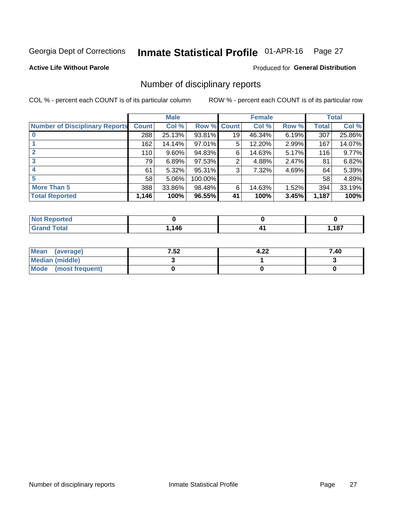#### Inmate Statistical Profile 01-APR-16 Page 27

**Active Life Without Parole** 

Produced for General Distribution

## Number of disciplinary reports

COL % - percent each COUNT is of its particular column

|                                       |              | <b>Male</b> |             |    | <b>Female</b> |          |       | <b>Total</b> |
|---------------------------------------|--------------|-------------|-------------|----|---------------|----------|-------|--------------|
| <b>Number of Disciplinary Reports</b> | <b>Count</b> | Col %       | Row % Count |    | Col %         | Row %    | Total | Col %        |
|                                       | 288          | 25.13%      | 93.81%      | 19 | 46.34%        | $6.19\%$ | 307   | 25.86%       |
|                                       | 162          | 14.14%      | 97.01%      | 5  | 12.20%        | 2.99%    | 167   | 14.07%       |
|                                       | 110          | $9.60\%$    | 94.83%      | 6  | 14.63%        | 5.17%    | 116   | 9.77%        |
| 3                                     | 79           | 6.89%       | 97.53%      | 2  | 4.88%         | 2.47%    | 81    | 6.82%        |
|                                       | 61           | 5.32%       | 95.31%      | 3  | 7.32%         | 4.69%    | 64    | 5.39%        |
| 5                                     | 58           | 5.06%       | 100.00%     |    |               |          | 58    | 4.89%        |
| <b>More Than 5</b>                    | 388          | 33.86%      | 98.48%      | 6  | 14.63%        | 1.52%    | 394   | 33.19%       |
| <b>Total Reported</b>                 | 1,146        | 100%        | 96.55%      | 41 | 100%          | 3.45%    | 1,187 | 100%         |

| <b>ted</b><br>NO |      |     |
|------------------|------|-----|
| <b>Total</b>     | .146 | 407 |

| Mean (average)         | 7.52 | 4.22 | 7.40 |
|------------------------|------|------|------|
| <b>Median (middle)</b> |      |      |      |
| Mode (most frequent)   |      |      |      |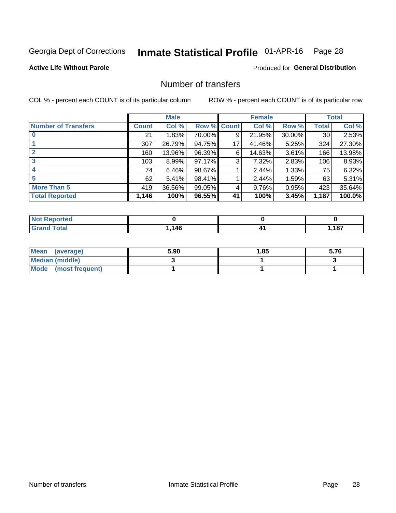## Inmate Statistical Profile 01-APR-16 Page 28

### **Active Life Without Parole**

### **Produced for General Distribution**

## Number of transfers

COL % - percent each COUNT is of its particular column

|                            |         | <b>Male</b> |        |              | <b>Female</b> |          |              | <b>Total</b> |
|----------------------------|---------|-------------|--------|--------------|---------------|----------|--------------|--------------|
| <b>Number of Transfers</b> | Count l | Col %       | Row %  | <b>Count</b> | Col %         | Row %    | <b>Total</b> | Col %        |
|                            | 21      | 1.83%       | 70.00% | 9            | 21.95%        | 30.00%   | 30           | 2.53%        |
|                            | 307     | 26.79%      | 94.75% | 17           | 41.46%        | 5.25%    | 324          | 27.30%       |
| 2                          | 160     | 13.96%      | 96.39% | 6            | 14.63%        | 3.61%    | 166          | 13.98%       |
| 3                          | 103     | $8.99\%$    | 97.17% | 3            | 7.32%         | $2.83\%$ | 106          | 8.93%        |
|                            | 74      | 6.46%       | 98.67% |              | 2.44%         | 1.33%    | 75           | 6.32%        |
| 5                          | 62      | 5.41%       | 98.41% |              | 2.44%         | 1.59%    | 63           | 5.31%        |
| <b>More Than 5</b>         | 419     | 36.56%      | 99.05% | 4            | 9.76%         | 0.95%    | 423          | 35.64%       |
| <b>Total Reported</b>      | 1,146   | 100%        | 96.55% | 41           | 100%          | 3.45%    | 1,187        | 100.0%       |

| prted<br><b>NOT REDC</b> |      |      |
|--------------------------|------|------|
| Total                    | ,146 | ,187 |

| Mean (average)       | 5.90 | 1.85 | 5.76 |
|----------------------|------|------|------|
| Median (middle)      |      |      |      |
| Mode (most frequent) |      |      |      |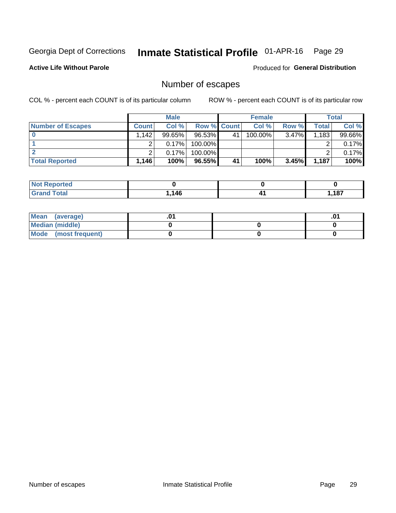## Inmate Statistical Profile 01-APR-16 Page 29

**Active Life Without Parole** 

Produced for General Distribution

## Number of escapes

COL % - percent each COUNT is of its particular column

|                          |              | <b>Male</b> |                    |    | <b>Female</b> |          |       | Total  |
|--------------------------|--------------|-------------|--------------------|----|---------------|----------|-------|--------|
| <b>Number of Escapes</b> | <b>Count</b> | Col %       | <b>Row % Count</b> |    | Col %         | Row %    | Total | Col %  |
|                          | ا 142.       | $99.65\%$   | 96.53%             | 41 | $100.00\%$    | $3.47\%$ | 1,183 | 99.66% |
|                          |              | 0.17%       | 100.00%            |    |               |          |       | 0.17%  |
|                          |              | 0.17%       | $100.00\%$         |    |               |          |       | 0.17%  |
| <b>Total Reported</b>    | $.146+$      | 100%        | $96.55\%$          | 41 | 100%          | 3.45%    | 1.187 | 100%   |

| <b>orted</b><br><b>NOT</b><br>, Repor |      |     |                       |
|---------------------------------------|------|-----|-----------------------|
| <b>f</b> otal<br><b>Grand</b>         | .146 | ,,, | <b>407</b><br>. . v / |

| Mean (average)       |  | י ש |
|----------------------|--|-----|
| Median (middle)      |  |     |
| Mode (most frequent) |  |     |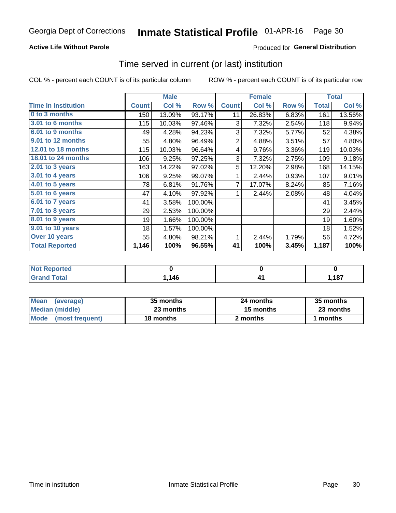### **Active Life Without Parole**

## **Produced for General Distribution**

## Time served in current (or last) institution

COL % - percent each COUNT is of its particular column

|                            |              | <b>Male</b> |         |                | <b>Female</b> |       |              | <b>Total</b> |
|----------------------------|--------------|-------------|---------|----------------|---------------|-------|--------------|--------------|
| <b>Time In Institution</b> | <b>Count</b> | Col %       | Row %   | <b>Count</b>   | Col %         | Row % | <b>Total</b> | Col %        |
| 0 to 3 months              | 150          | 13.09%      | 93.17%  | 11             | 26.83%        | 6.83% | 161          | 13.56%       |
| <b>3.01 to 6 months</b>    | 115          | 10.03%      | 97.46%  | 3              | 7.32%         | 2.54% | 118          | 9.94%        |
| 6.01 to 9 months           | 49           | 4.28%       | 94.23%  | 3              | 7.32%         | 5.77% | 52           | 4.38%        |
| 9.01 to 12 months          | 55           | 4.80%       | 96.49%  | $\overline{2}$ | 4.88%         | 3.51% | 57           | 4.80%        |
| 12.01 to 18 months         | 115          | 10.03%      | 96.64%  | 4              | 9.76%         | 3.36% | 119          | 10.03%       |
| <b>18.01 to 24 months</b>  | 106          | 9.25%       | 97.25%  | 3              | 7.32%         | 2.75% | 109          | 9.18%        |
| $2.01$ to 3 years          | 163          | 14.22%      | 97.02%  | 5              | 12.20%        | 2.98% | 168          | 14.15%       |
| $3.01$ to 4 years          | 106          | 9.25%       | 99.07%  | 1              | 2.44%         | 0.93% | 107          | 9.01%        |
| 4.01 to 5 years            | 78           | 6.81%       | 91.76%  | 7              | 17.07%        | 8.24% | 85           | 7.16%        |
| 5.01 to 6 years            | 47           | 4.10%       | 97.92%  | 1              | 2.44%         | 2.08% | 48           | 4.04%        |
| 6.01 to 7 years            | 41           | 3.58%       | 100.00% |                |               |       | 41           | 3.45%        |
| 7.01 to 8 years            | 29           | 2.53%       | 100.00% |                |               |       | 29           | 2.44%        |
| 8.01 to 9 years            | 19           | 1.66%       | 100.00% |                |               |       | 19           | 1.60%        |
| 9.01 to 10 years           | 18           | 1.57%       | 100.00% |                |               |       | 18           | 1.52%        |
| Over 10 years              | 55           | 4.80%       | 98.21%  | 1              | 2.44%         | 1.79% | 56           | 4.72%        |
| <b>Total Reported</b>      | 1,146        | 100%        | 96.55%  | 41             | 100%          | 3.45% | 1,187        | 100%         |

| Reported<br><b>NOT</b> |    |      |
|------------------------|----|------|
| <i>i</i> otal          | 46 | ,187 |

| <b>Mean</b><br>(average) | 35 months | 24 months | 35 months |
|--------------------------|-----------|-----------|-----------|
| Median (middle)          | 23 months | 15 months | 23 months |
| Mode (most frequent)     | 18 months | 2 months  | 1 months  |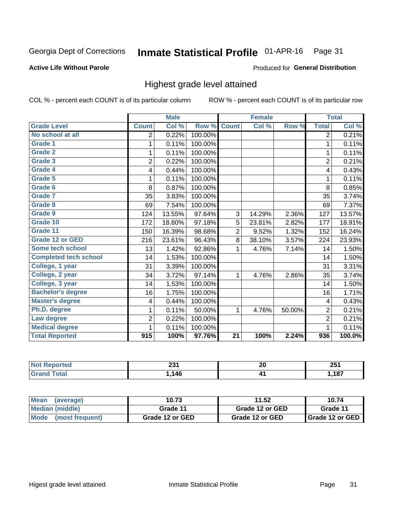#### Inmate Statistical Profile 01-APR-16 Page 31

### **Active Life Without Parole**

### Produced for General Distribution

## Highest grade level attained

COL % - percent each COUNT is of its particular column

|                              |                          | <b>Male</b> |         |                 | <b>Female</b> |        |                | <b>Total</b> |
|------------------------------|--------------------------|-------------|---------|-----------------|---------------|--------|----------------|--------------|
| <b>Grade Level</b>           | <b>Count</b>             | Col %       | Row %   | <b>Count</b>    | Col %         | Row %  | <b>Total</b>   | Col %        |
| No school at all             | $\overline{2}$           | 0.22%       | 100.00% |                 |               |        | $\overline{2}$ | 0.21%        |
| Grade 1                      | 1                        | 0.11%       | 100.00% |                 |               |        | 1              | 0.11%        |
| <b>Grade 2</b>               | 1                        | 0.11%       | 100.00% |                 |               |        | 1              | 0.11%        |
| Grade 3                      | $\overline{2}$           | 0.22%       | 100.00% |                 |               |        | $\overline{2}$ | 0.21%        |
| Grade 4                      | 4                        | 0.44%       | 100.00% |                 |               |        | 4              | 0.43%        |
| <b>Grade 5</b>               | 1                        | 0.11%       | 100.00% |                 |               |        | 1              | 0.11%        |
| <b>Grade 6</b>               | 8                        | 0.87%       | 100.00% |                 |               |        | 8              | 0.85%        |
| Grade 7                      | 35                       | 3.83%       | 100.00% |                 |               |        | 35             | 3.74%        |
| Grade 8                      | 69                       | 7.54%       | 100.00% |                 |               |        | 69             | 7.37%        |
| Grade 9                      | 124                      | 13.55%      | 97.64%  | 3               | 14.29%        | 2.36%  | 127            | 13.57%       |
| Grade 10                     | 172                      | 18.80%      | 97.18%  | 5               | 23.81%        | 2.82%  | 177            | 18.91%       |
| Grade 11                     | 150                      | 16.39%      | 98.68%  | $\overline{2}$  | 9.52%         | 1.32%  | 152            | 16.24%       |
| <b>Grade 12 or GED</b>       | 216                      | 23.61%      | 96.43%  | 8               | 38.10%        | 3.57%  | 224            | 23.93%       |
| Some tech school             | 13                       | 1.42%       | 92.86%  | 1               | 4.76%         | 7.14%  | 14             | 1.50%        |
| <b>Completed tech school</b> | 14                       | 1.53%       | 100.00% |                 |               |        | 14             | 1.50%        |
| College, 1 year              | 31                       | 3.39%       | 100.00% |                 |               |        | 31             | 3.31%        |
| College, 2 year              | 34                       | 3.72%       | 97.14%  | 1               | 4.76%         | 2.86%  | 35             | 3.74%        |
| College, 3 year              | 14                       | 1.53%       | 100.00% |                 |               |        | 14             | 1.50%        |
| <b>Bachelor's degree</b>     | 16                       | 1.75%       | 100.00% |                 |               |        | 16             | 1.71%        |
| <b>Master's degree</b>       | $\overline{\mathcal{A}}$ | 0.44%       | 100.00% |                 |               |        | 4              | 0.43%        |
| Ph.D. degree                 | 1                        | 0.11%       | 50.00%  | 1               | 4.76%         | 50.00% | $\overline{c}$ | 0.21%        |
| Law degree                   | 2                        | 0.22%       | 100.00% |                 |               |        | $\overline{2}$ | 0.21%        |
| <b>Medical degree</b>        | 1                        | 0.11%       | 100.00% |                 |               |        | 1              | 0.11%        |
| <b>Total Reported</b>        | 915                      | 100%        | 97.76%  | $\overline{21}$ | 100%          | 2.24%  | 936            | 100.0%       |

| ттео | ີ<br>2J I<br>$- - -$ | <u>nr</u><br>ZU | つにィ<br>ZJ I  |
|------|----------------------|-----------------|--------------|
|      | 146                  |                 | 407<br>. . 0 |

| <b>Mean</b><br>(average)       | 10.73           | 11.52           | 10.74             |
|--------------------------------|-----------------|-----------------|-------------------|
| Median (middle)                | Grade 11        | Grade 12 or GED | Grade 11          |
| <b>Mode</b><br>(most frequent) | Grade 12 or GED | Grade 12 or GED | I Grade 12 or GED |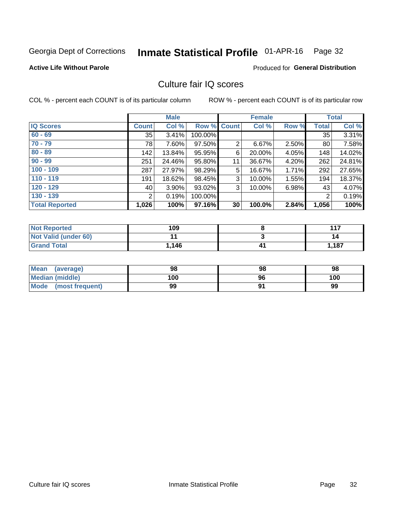#### Inmate Statistical Profile 01-APR-16 Page 32

### **Active Life Without Parole**

### **Produced for General Distribution**

## Culture fair IQ scores

COL % - percent each COUNT is of its particular column

|                       |              | <b>Male</b> |                    |                 | <b>Female</b> |       |              | <b>Total</b> |
|-----------------------|--------------|-------------|--------------------|-----------------|---------------|-------|--------------|--------------|
| <b>IQ Scores</b>      | <b>Count</b> | Col %       | <b>Row % Count</b> |                 | Col %         | Row % | <b>Total</b> | Col %        |
| $60 - 69$             | 35           | 3.41%       | 100.00%            |                 |               |       | 35           | 3.31%        |
| $70 - 79$             | 78           | 7.60%       | 97.50%             | $\overline{2}$  | 6.67%         | 2.50% | 80           | 7.58%        |
| $80 - 89$             | 142          | 13.84%      | 95.95%             | 6               | 20.00%        | 4.05% | 148          | 14.02%       |
| $90 - 99$             | 251          | 24.46%      | 95.80%             | 11              | 36.67%        | 4.20% | 262          | 24.81%       |
| $100 - 109$           | 287          | 27.97%      | 98.29%             | 5               | 16.67%        | 1.71% | 292          | 27.65%       |
| $110 - 119$           | 191          | 18.62%      | 98.45%             | 3               | 10.00%        | 1.55% | 194          | 18.37%       |
| $120 - 129$           | 40           | 3.90%       | 93.02%             | 3               | 10.00%        | 6.98% | 43           | 4.07%        |
| $130 - 139$           | 2            | 0.19%       | 100.00%            |                 |               |       | 2            | 0.19%        |
| <b>Total Reported</b> | 1,026        | 100%        | 97.16%             | 30 <sup>1</sup> | 100.0%        | 2.84% | 1,056        | 100%         |

| <b>Not Reported</b>  | 109   | 447   |
|----------------------|-------|-------|
| Not Valid (under 60) |       | 14    |
| <b>Grand Total</b>   | 1,146 | 1,187 |

| <b>Mean</b><br>(average) | 98  | 98 | 98  |
|--------------------------|-----|----|-----|
| <b>Median (middle)</b>   | 100 | 96 | 100 |
| Mode (most frequent)     | 99  |    | 99  |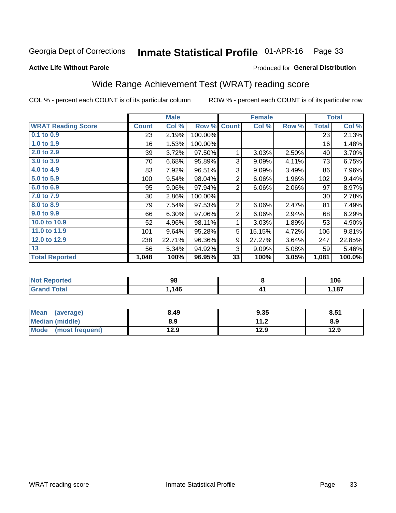#### Inmate Statistical Profile 01-APR-16 Page 33

### **Active Life Without Parole**

### Produced for General Distribution

## Wide Range Achievement Test (WRAT) reading score

COL % - percent each COUNT is of its particular column

|                           |              | <b>Male</b> |         |                | <b>Female</b> |          |              | <b>Total</b> |
|---------------------------|--------------|-------------|---------|----------------|---------------|----------|--------------|--------------|
| <b>WRAT Reading Score</b> | <b>Count</b> | Col %       | Row %   | <b>Count</b>   | Col %         | Row %    | <b>Total</b> | Col %        |
| $0.1$ to $0.9$            | 23           | 2.19%       | 100.00% |                |               |          | 23           | 2.13%        |
| 1.0 to 1.9                | 16           | 1.53%       | 100.00% |                |               |          | 16           | 1.48%        |
| 2.0 to 2.9                | 39           | 3.72%       | 97.50%  | 1              | 3.03%         | 2.50%    | 40           | 3.70%        |
| 3.0 to 3.9                | 70           | 6.68%       | 95.89%  | 3              | 9.09%         | 4.11%    | 73           | 6.75%        |
| 4.0 to 4.9                | 83           | 7.92%       | 96.51%  | 3              | 9.09%         | 3.49%    | 86           | 7.96%        |
| 5.0 to 5.9                | 100          | 9.54%       | 98.04%  | $\overline{2}$ | 6.06%         | 1.96%    | 102          | 9.44%        |
| 6.0 to 6.9                | 95           | 9.06%       | 97.94%  | $\overline{2}$ | 6.06%         | $2.06\%$ | 97           | 8.97%        |
| 7.0 to 7.9                | $30$         | 2.86%       | 100.00% |                |               |          | 30           | 2.78%        |
| 8.0 to 8.9                | 79           | 7.54%       | 97.53%  | $\overline{2}$ | 6.06%         | 2.47%    | 81           | 7.49%        |
| 9.0 to 9.9                | 66           | 6.30%       | 97.06%  | $\overline{2}$ | 6.06%         | 2.94%    | 68           | 6.29%        |
| 10.0 to 10.9              | 52           | 4.96%       | 98.11%  | 1              | 3.03%         | 1.89%    | 53           | 4.90%        |
| 11.0 to 11.9              | 101          | 9.64%       | 95.28%  | 5              | 15.15%        | 4.72%    | 106          | 9.81%        |
| 12.0 to 12.9              | 238          | 22.71%      | 96.36%  | 9              | 27.27%        | 3.64%    | 247          | 22.85%       |
| 13                        | 56           | 5.34%       | 94.92%  | 3              | 9.09%         | 5.08%    | 59           | 5.46%        |
| <b>Total Reported</b>     | 1,048        | 100%        | 96.95%  | 33             | 100%          | 3.05%    | 1,081        | 100.0%       |
|                           |              |             |         |                |               |          |              |              |

| <b>Not Reported</b> | 98  | 106  |
|---------------------|-----|------|
| <b>Grand Total</b>  | 146 | .187 |

| Mean (average)       | 8.49 | 9.35 | 8.51 |
|----------------------|------|------|------|
| Median (middle)      | 8.9  | 11.2 | 8.9  |
| Mode (most frequent) | 12.9 | 12.9 | 12.9 |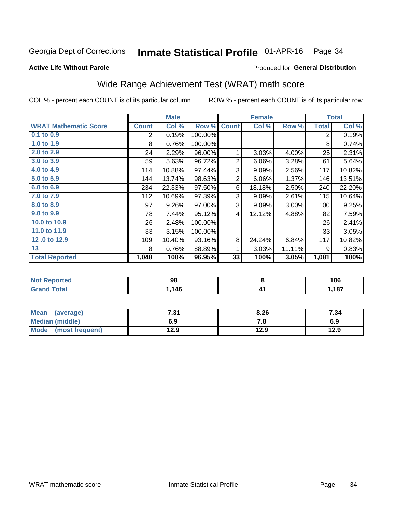#### Inmate Statistical Profile 01-APR-16 Page 34

Produced for General Distribution

### **Active Life Without Parole**

## Wide Range Achievement Test (WRAT) math score

COL % - percent each COUNT is of its particular column

|                              |                | <b>Male</b> |         |                | <b>Female</b> |        |                | <b>Total</b> |
|------------------------------|----------------|-------------|---------|----------------|---------------|--------|----------------|--------------|
| <b>WRAT Mathematic Score</b> | <b>Count</b>   | Col %       | Row %   | <b>Count</b>   | Col %         | Row %  | <b>Total</b>   | Col %        |
| 0.1 to 0.9                   | $\overline{2}$ | 0.19%       | 100.00% |                |               |        | $\overline{2}$ | 0.19%        |
| 1.0 to 1.9                   | 8              | 0.76%       | 100.00% |                |               |        | 8              | 0.74%        |
| 2.0 to 2.9                   | 24             | 2.29%       | 96.00%  | 1              | 3.03%         | 4.00%  | 25             | 2.31%        |
| 3.0 to 3.9                   | 59             | 5.63%       | 96.72%  | $\overline{2}$ | 6.06%         | 3.28%  | 61             | 5.64%        |
| 4.0 to 4.9                   | 114            | 10.88%      | 97.44%  | 3              | 9.09%         | 2.56%  | 117            | 10.82%       |
| 5.0 to 5.9                   | 144            | 13.74%      | 98.63%  | $\mathbf 2$    | 6.06%         | 1.37%  | 146            | 13.51%       |
| 6.0 to 6.9                   | 234            | 22.33%      | 97.50%  | 6              | 18.18%        | 2.50%  | 240            | 22.20%       |
| 7.0 to 7.9                   | 112            | 10.69%      | 97.39%  | 3              | 9.09%         | 2.61%  | 115            | 10.64%       |
| 8.0 to 8.9                   | 97             | 9.26%       | 97.00%  | 3              | 9.09%         | 3.00%  | 100            | 9.25%        |
| 9.0 to 9.9                   | 78             | 7.44%       | 95.12%  | 4              | 12.12%        | 4.88%  | 82             | 7.59%        |
| 10.0 to 10.9                 | 26             | 2.48%       | 100.00% |                |               |        | 26             | 2.41%        |
| 11.0 to 11.9                 | 33             | 3.15%       | 100.00% |                |               |        | 33             | 3.05%        |
| 12.0 to 12.9                 | 109            | 10.40%      | 93.16%  | 8              | 24.24%        | 6.84%  | 117            | 10.82%       |
| 13                           | 8              | 0.76%       | 88.89%  | 1              | 3.03%         | 11.11% | 9              | 0.83%        |
| <b>Total Reported</b>        | 1,048          | 100%        | 96.95%  | 33             | 100%          | 3.05%  | 1,081          | 100%         |
|                              |                |             |         |                |               |        |                |              |
|                              |                |             |         |                |               |        |                |              |

| <b>Not</b><br><b>Reported</b> | 98  | 106        |
|-------------------------------|-----|------------|
| <b>cotal</b>                  | 146 | 197<br>10. |

| <b>Mean</b><br>(average)       | 794<br>ا د. | 8.26 | 7.34 |
|--------------------------------|-------------|------|------|
| Median (middle)                | 6.9         | 7.O  | 6.9  |
| <b>Mode</b><br>(most frequent) | 12.9        | 12.9 | 12.9 |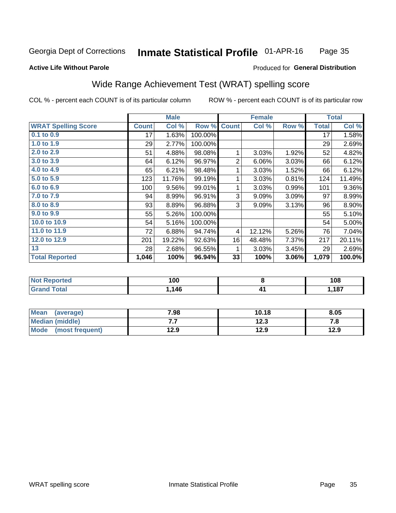#### Inmate Statistical Profile 01-APR-16 Page 35

### **Active Life Without Parole**

### Produced for General Distribution

## Wide Range Achievement Test (WRAT) spelling score

COL % - percent each COUNT is of its particular column

|                            |              | <b>Male</b> |         |                | <b>Female</b> |       |              | <b>Total</b> |
|----------------------------|--------------|-------------|---------|----------------|---------------|-------|--------------|--------------|
| <b>WRAT Spelling Score</b> | <b>Count</b> | Col %       | Row %   | <b>Count</b>   | Col %         | Row % | <b>Total</b> | Col %        |
| $0.1$ to $0.9$             | 17           | 1.63%       | 100.00% |                |               |       | 17           | 1.58%        |
| 1.0 to 1.9                 | 29           | 2.77%       | 100.00% |                |               |       | 29           | 2.69%        |
| 2.0 to 2.9                 | 51           | 4.88%       | 98.08%  | 1              | 3.03%         | 1.92% | 52           | 4.82%        |
| 3.0 to 3.9                 | 64           | 6.12%       | 96.97%  | $\overline{2}$ | 6.06%         | 3.03% | 66           | 6.12%        |
| 4.0 to 4.9                 | 65           | 6.21%       | 98.48%  | 1              | 3.03%         | 1.52% | 66           | 6.12%        |
| 5.0 to 5.9                 | 123          | 11.76%      | 99.19%  | 1              | 3.03%         | 0.81% | 124          | 11.49%       |
| 6.0 to 6.9                 | 100          | 9.56%       | 99.01%  | 1              | 3.03%         | 0.99% | 101          | $9.36\%$     |
| 7.0 to 7.9                 | 94           | 8.99%       | 96.91%  | 3              | 9.09%         | 3.09% | 97           | 8.99%        |
| 8.0 to 8.9                 | 93           | 8.89%       | 96.88%  | 3              | 9.09%         | 3.13% | 96           | 8.90%        |
| 9.0 to 9.9                 | 55           | 5.26%       | 100.00% |                |               |       | 55           | 5.10%        |
| 10.0 to 10.9               | 54           | 5.16%       | 100.00% |                |               |       | 54           | 5.00%        |
| 11.0 to 11.9               | 72           | 6.88%       | 94.74%  | 4              | 12.12%        | 5.26% | 76           | 7.04%        |
| 12.0 to 12.9               | 201          | 19.22%      | 92.63%  | 16             | 48.48%        | 7.37% | 217          | 20.11%       |
| 13                         | 28           | 2.68%       | 96.55%  | 1              | 3.03%         | 3.45% | 29           | 2.69%        |
| <b>Total Reported</b>      | 1,046        | 100%        | 96.94%  | 33             | 100%          | 3.06% | 1,079        | 100.0%       |

| <b>Not Reported</b>    | 100           |   | 108    |
|------------------------|---------------|---|--------|
| <b>Total</b><br>'Grand | 116<br>. . TV | " | 187. ا |

| Mean (average)       | 7.98 | 10.18 | 8.05 |
|----------------------|------|-------|------|
| Median (middle)      | .    | 12.3  | 7.a  |
| Mode (most frequent) | 12.9 | 12.9  | 12.9 |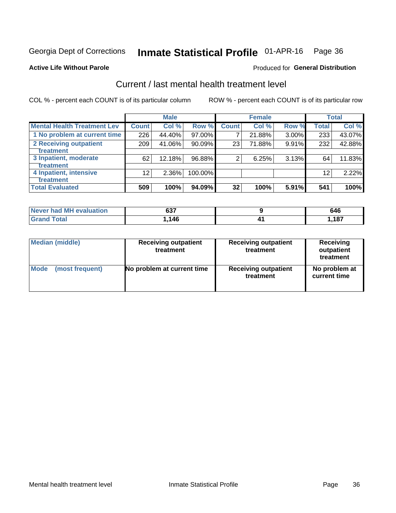**Active Life Without Parole** 

## Inmate Statistical Profile 01-APR-16 Page 36

Produced for General Distribution

## Current / last mental health treatment level

COL % - percent each COUNT is of its particular column

|                                    |              | <b>Male</b> |           |              | <b>Female</b> |          |              | <b>Total</b> |
|------------------------------------|--------------|-------------|-----------|--------------|---------------|----------|--------------|--------------|
| <b>Mental Health Treatment Lev</b> | <b>Count</b> | Col %       | Row %     | <b>Count</b> | Col%          | Row %    | <b>Total</b> | Col %        |
| 1 No problem at current time       | 226          | 44.40%      | 97.00%    | 7            | 21.88%        | $3.00\%$ | 233          | 43.07%       |
| 2 Receiving outpatient             | 209          | 41.06%      | $90.09\%$ | 23           | 71.88%        | 9.91%    | 232          | 42.88%       |
| <b>Treatment</b>                   |              |             |           |              |               |          |              |              |
| 3 Inpatient, moderate              | 62           | 12.18%      | 96.88%    | 2            | 6.25%         | 3.13%    | 64           | 11.83%       |
| Treatment                          |              |             |           |              |               |          |              |              |
| 4 Inpatient, intensive             | 12           | 2.36%       | 100.00%   |              |               |          | 12           | 2.22%        |
| <b>Treatment</b>                   |              |             |           |              |               |          |              |              |
| <b>Total Evaluated</b>             | 509          | 100%        | 94.09%    | 32           | 100%          | 5.91%    | 541          | 100%         |

| Never had MH evaluation | 697<br>ו טט | 646  |
|-------------------------|-------------|------|
| Total                   | 146،،       | .187 |

| <b>Median (middle)</b> | <b>Receiving outpatient</b><br>treatment | <b>Receiving outpatient</b><br>treatment | <b>Receiving</b><br>outpatient<br>treatment |  |
|------------------------|------------------------------------------|------------------------------------------|---------------------------------------------|--|
| <b>Mode</b>            | No problem at current time               | <b>Receiving outpatient</b>              | No problem at                               |  |
| (most frequent)        |                                          | treatment                                | current time                                |  |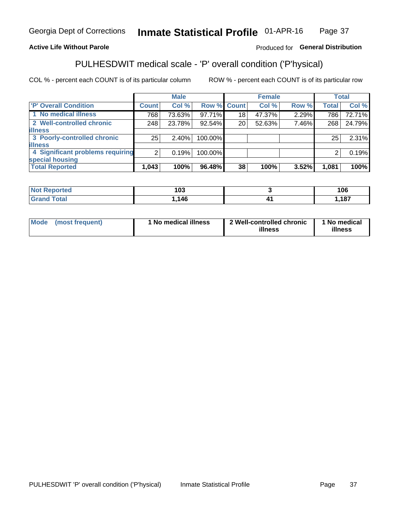#### Inmate Statistical Profile 01-APR-16 Page 37

### **Active Life Without Parole**

### Produced for General Distribution

## PULHESDWIT medical scale - 'P' overall condition ('P'hysical)

COL % - percent each COUNT is of its particular column

|                                  |                | <b>Male</b> |             |                 | <b>Female</b> |       |              | <b>Total</b> |
|----------------------------------|----------------|-------------|-------------|-----------------|---------------|-------|--------------|--------------|
| 'P' Overall Condition            | <b>Count</b>   | Col %       | Row % Count |                 | Col %         | Row % | <b>Total</b> | Col %        |
| 1 No medical illness             | 768            | 73.63%      | 97.71%      | 18              | 47.37%        | 2.29% | 786          | 72.71%       |
| 2 Well-controlled chronic        | 248            | 23.78%      | 92.54%      | 20 <sub>1</sub> | 52.63%        | 7.46% | 268          | 24.79%       |
| <b>illness</b>                   |                |             |             |                 |               |       |              |              |
| 3 Poorly-controlled chronic      | 25             | $2.40\%$    | 100.00%     |                 |               |       | 25           | 2.31%        |
| <b>illness</b>                   |                |             |             |                 |               |       |              |              |
| 4 Significant problems requiring | 2 <sub>1</sub> | 0.19%       | 100.00%     |                 |               |       | 2            | 0.19%        |
| special housing                  |                |             |             |                 |               |       |              |              |
| <b>Total Reported</b>            | 1,043          | 100%        | 96.48%      | 38              | 100%          | 3.52% | 1,081        | 100%         |

| ,<br>I U.  |          | 106 |
|------------|----------|-----|
| . AC<br>TV | л<br>. . | 407 |

| <b>Mode</b> | (most frequent) | 1 No medical illness | 2 Well-controlled chronic<br>illness | 1 No medical<br>illness |
|-------------|-----------------|----------------------|--------------------------------------|-------------------------|
|-------------|-----------------|----------------------|--------------------------------------|-------------------------|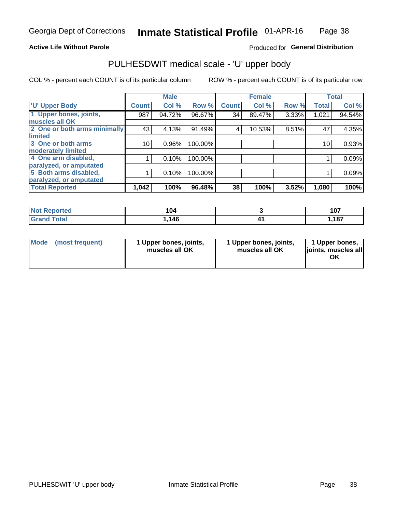### **Active Life Without Parole**

## Produced for General Distribution

## PULHESDWIT medical scale - 'U' upper body

COL % - percent each COUNT is of its particular column

|                              |              | <b>Male</b> |         |              | <b>Female</b> |       |              | <b>Total</b> |
|------------------------------|--------------|-------------|---------|--------------|---------------|-------|--------------|--------------|
| <b>'U' Upper Body</b>        | <b>Count</b> | Col %       | Row %   | <b>Count</b> | Col %         | Row % | <b>Total</b> | Col %        |
| 1 Upper bones, joints,       | 987          | 94.72%      | 96.67%  | 34           | 89.47%        | 3.33% | 1,021        | 94.54%       |
| muscles all OK               |              |             |         |              |               |       |              |              |
| 2 One or both arms minimally | 43           | 4.13%       | 91.49%  | 4            | 10.53%        | 8.51% | 47           | 4.35%        |
| limited                      |              |             |         |              |               |       |              |              |
| 3 One or both arms           | 10           | 0.96%       | 100.00% |              |               |       | 10           | 0.93%        |
| moderately limited           |              |             |         |              |               |       |              |              |
| 4 One arm disabled,          |              | 0.10%       | 100.00% |              |               |       |              | 0.09%        |
| paralyzed, or amputated      |              |             |         |              |               |       |              |              |
| 5 Both arms disabled,        |              | 0.10%       | 100.00% |              |               |       |              | 0.09%        |
| paralyzed, or amputated      |              |             |         |              |               |       |              |              |
| <b>Total Reported</b>        | 1,042        | 100%        | 96.48%  | 38           | 100%          | 3.52% | 1,080        | 100%         |

| <b>Not Reported</b> | 104   | 107<br>1 V 1        |
|---------------------|-------|---------------------|
| <b>Grand Total</b>  | 146،، | <b>407</b><br>, 107 |

| Mode (most frequent) | 1 Upper bones, joints,<br>muscles all OK | 1 Upper bones, joints,<br>muscles all OK | 1 Upper bones,<br>joints, muscles all<br>ΟK |
|----------------------|------------------------------------------|------------------------------------------|---------------------------------------------|
|----------------------|------------------------------------------|------------------------------------------|---------------------------------------------|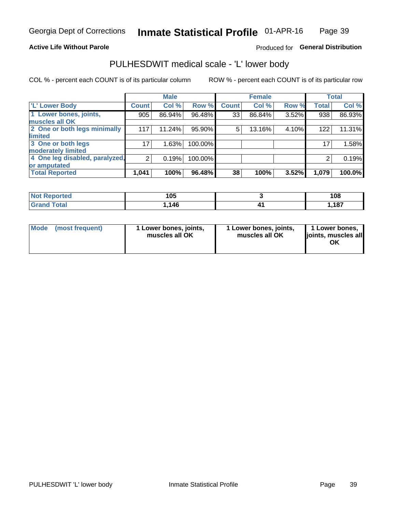### **Active Life Without Parole**

## Produced for General Distribution

## PULHESDWIT medical scale - 'L' lower body

COL % - percent each COUNT is of its particular column

|                                     | <b>Male</b> |              | <b>Female</b>                                             |       |                | <b>Total</b> |
|-------------------------------------|-------------|--------------|-----------------------------------------------------------|-------|----------------|--------------|
| <b>Count!</b>                       | Col %       | <b>Count</b> | Col %                                                     | Row % | <b>Total</b>   | Col %        |
| 905                                 | 86.94%      | 33           | 86.84%                                                    |       | 938            | 86.93%       |
|                                     |             |              |                                                           |       |                |              |
| 2 One or both legs minimally<br>117 | 11.24%      | 5            | 13.16%                                                    |       | 122            | 11.31%       |
|                                     |             |              |                                                           |       |                |              |
| 17                                  | 1.63%       |              |                                                           |       | 17             | 1.58%        |
|                                     |             |              |                                                           |       |                |              |
| 4 One leg disabled, paralyzed,<br>2 | 0.19%       |              |                                                           |       | 2              | 0.19%        |
|                                     |             |              |                                                           |       |                |              |
| 1,041                               | 100%        | 38           | 100%                                                      | 3.52% | 1,079          | 100.0%       |
|                                     |             |              | Row %<br>96.48%<br>95.90%<br>100.00%<br>100.00%<br>96.48% |       | 3.52%<br>4.10% |              |

| <b>Not Reported</b><br>⋯ | 1 N F<br>טע | 108  |
|--------------------------|-------------|------|
| Total                    | .146        | ,187 |

| Mode | (most frequent) | 1 Lower bones, joints,<br>muscles all OK | 1 Lower bones, joints,<br>muscles all OK | 1 Lower bones,<br>ljoints, muscles all<br>ΟK |
|------|-----------------|------------------------------------------|------------------------------------------|----------------------------------------------|
|------|-----------------|------------------------------------------|------------------------------------------|----------------------------------------------|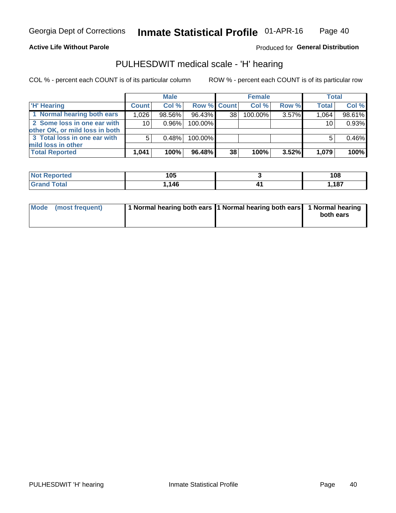**Active Life Without Parole** 

Produced for General Distribution

## PULHESDWIT medical scale - 'H' hearing

COL % - percent each COUNT is of its particular column

|                                                               |                 | <b>Male</b> |             |    | <b>Female</b> |          | <b>Total</b> |        |
|---------------------------------------------------------------|-----------------|-------------|-------------|----|---------------|----------|--------------|--------|
| <b>H'</b> Hearing                                             | <b>Count</b>    | Col %       | Row % Count |    | Col%          | Row %    | <b>Total</b> | Col %  |
| 1 Normal hearing both ears                                    | 1,026           | 98.56%      | 96.43%      | 38 | $100.00\%$    | 3.57%    | 1.064        | 98.61% |
| 2 Some loss in one ear with<br>other OK, or mild loss in both | 10 <sup>1</sup> | 0.96%       | 100.00%     |    |               |          | 10           | 0.93%  |
| 3 Total loss in one ear with<br>mild loss in other            | 5               | 0.48%       | 100.00%     |    |               |          |              | 0.46%  |
| <b>Total Reported</b>                                         | 1,041           | 100%        | 96.48%      | 38 | 100%          | $3.52\%$ | 1,079        | 100%   |

| Reported<br><b>Not</b> | 105      | 108  |
|------------------------|----------|------|
| <b>otal</b>            | AC<br>᠇៶ | ,187 |

| Mode (most frequent) | 1 Normal hearing both ears 1 Normal hearing both ears 1 Normal hearing | both ears |
|----------------------|------------------------------------------------------------------------|-----------|
|----------------------|------------------------------------------------------------------------|-----------|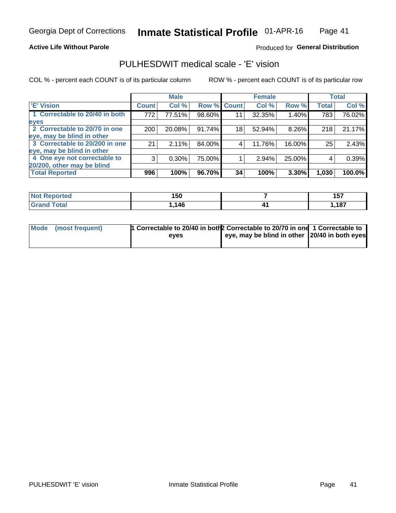### **Active Life Without Parole**

### Produced for General Distribution

## PULHESDWIT medical scale - 'E' vision

COL % - percent each COUNT is of its particular column

|                                |              | <b>Male</b> |             |    | <b>Female</b> |        |              | <b>Total</b> |
|--------------------------------|--------------|-------------|-------------|----|---------------|--------|--------------|--------------|
| <b>E' Vision</b>               | <b>Count</b> | Col %       | Row % Count |    | Col %         | Row %  | <b>Total</b> | Col %        |
| 1 Correctable to 20/40 in both | 772          | 77.51%      | 98.60%      | 11 | 32.35%        | 1.40%  | 783          | 76.02%       |
| eyes                           |              |             |             |    |               |        |              |              |
| 2 Correctable to 20/70 in one  | 200          | 20.08%      | 91.74%      | 18 | 52.94%        | 8.26%  | 218          | 21.17%       |
| eye, may be blind in other     |              |             |             |    |               |        |              |              |
| 3 Correctable to 20/200 in one | 21           | 2.11%       | 84.00%      |    | 11.76%        | 16.00% | 25           | 2.43%        |
| eye, may be blind in other     |              |             |             |    |               |        |              |              |
| 4 One eye not correctable to   | 3            | 0.30%       | 75.00%      |    | 2.94%         | 25.00% | 4            | 0.39%        |
| 20/200, other may be blind     |              |             |             |    |               |        |              |              |
| <b>Total Reported</b>          | 996          | 100%        | 96.70%      | 34 | 100%          | 3.30%  | 1,030        | 100.0%       |

| ాorted<br>NOT | 150  | <b>457</b><br><u>,,</u> |
|---------------|------|-------------------------|
| Total<br>Cror | .146 | ,187                    |

| Mode (most frequent) | 1 Correctable to 20/40 in both 2 Correctable to 20/70 in one 1 Correctable to<br>eves | eye, may be blind in other 20/40 in both eyes |  |
|----------------------|---------------------------------------------------------------------------------------|-----------------------------------------------|--|
|                      |                                                                                       |                                               |  |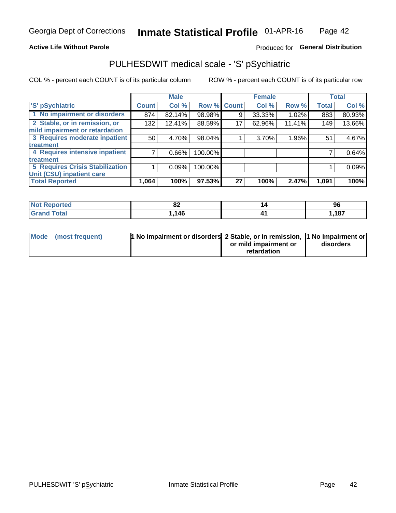### **Active Life Without Parole**

## Produced for General Distribution

## PULHESDWIT medical scale - 'S' pSychiatric

COL % - percent each COUNT is of its particular column

|                                        |              | <b>Male</b> |         |             | <b>Female</b> |        |              | <b>Total</b> |
|----------------------------------------|--------------|-------------|---------|-------------|---------------|--------|--------------|--------------|
| 'S' pSychiatric                        | <b>Count</b> | Col %       |         | Row % Count | Col %         | Row %  | <b>Total</b> | Col %        |
| 1 No impairment or disorders           | 874          | 82.14%      | 98.98%  | 9           | 33.33%        | 1.02%  | 883          | 80.93%       |
| 2 Stable, or in remission, or          | 132          | 12.41%      | 88.59%  | 17          | 62.96%        | 11.41% | 149          | 13.66%       |
| mild impairment or retardation         |              |             |         |             |               |        |              |              |
| 3 Requires moderate inpatient          | 50           | 4.70%       | 98.04%  |             | 3.70%         | 1.96%  | 51           | 4.67%        |
| treatment                              |              |             |         |             |               |        |              |              |
| 4 Requires intensive inpatient         |              | $0.66\%$    | 100.00% |             |               |        |              | 0.64%        |
| treatment                              |              |             |         |             |               |        |              |              |
| <b>5 Requires Crisis Stabilization</b> |              | 0.09%       | 100.00% |             |               |        |              | 0.09%        |
| Unit (CSU) inpatient care              |              |             |         |             |               |        |              |              |
| <b>Total Reported</b>                  | 1,064        | 100%        | 97.53%  | 27          | 100%          | 2.47%  | 1,091        | 100%         |

| <b>Not Reported</b> | o.<br>$^{\circ}$ | 96                    |
|---------------------|------------------|-----------------------|
| <b>Grand Total</b>  | 146              | 407<br>I, IO <i>I</i> |

| Mode (most frequent) | <b>1 No impairment or disorders</b> 2 Stable, or in remission, 11 No impairment or |                       |           |
|----------------------|------------------------------------------------------------------------------------|-----------------------|-----------|
|                      |                                                                                    | or mild impairment or | disorders |
|                      |                                                                                    | retardation           |           |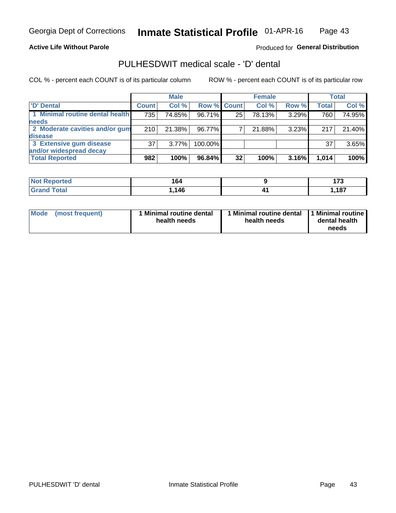### **Active Life Without Parole**

### Produced for General Distribution

## PULHESDWIT medical scale - 'D' dental

COL % - percent each COUNT is of its particular column

|                                 |              | <b>Male</b> |             |    | <b>Female</b> |       |              | Total  |
|---------------------------------|--------------|-------------|-------------|----|---------------|-------|--------------|--------|
| 'D' Dental                      | <b>Count</b> | Col %       | Row % Count |    | Col %         | Row % | <b>Total</b> | Col %  |
| 1 Minimal routine dental health | 735          | 74.85%      | 96.71%      | 25 | 78.13%        | 3.29% | 760          | 74.95% |
| <b>needs</b>                    |              |             |             |    |               |       |              |        |
| 2 Moderate cavities and/or gum  | 210          | 21.38%      | 96.77%      |    | 21.88%        | 3.23% | 217          | 21.40% |
| <b>disease</b>                  |              |             |             |    |               |       |              |        |
| 3 Extensive gum disease         | 37           | 3.77%       | 100.00%     |    |               |       | 37           | 3.65%  |
| and/or widespread decay         |              |             |             |    |               |       |              |        |
| <b>Total Reported</b>           | 982          | 100%        | 96.84%      | 32 | 100%          | 3.16% | 1,014        | 100%   |

| <b>NOT REDORTED</b><br>$\sim$ | 164  |           | $\overline{\phantom{a}}$     |
|-------------------------------|------|-----------|------------------------------|
| <b>Total</b>                  | .146 | <b>TI</b> | <b>407</b><br>I, IO <i>I</i> |

| Mode<br>(most frequent) | Minimal routine dental<br>health needs | <b>Minimal routine dental</b><br>health needs | 1 Minimal routine<br>dental health<br>needs |
|-------------------------|----------------------------------------|-----------------------------------------------|---------------------------------------------|
|-------------------------|----------------------------------------|-----------------------------------------------|---------------------------------------------|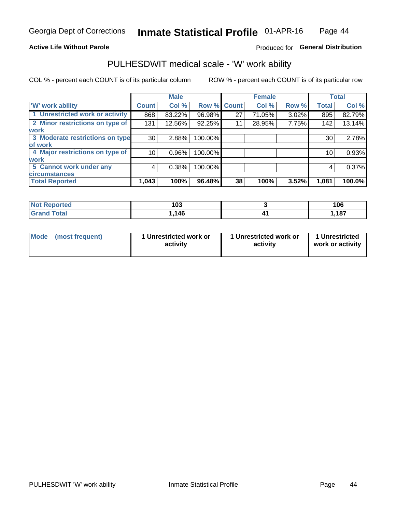### **Active Life Without Parole**

## Produced for General Distribution

## PULHESDWIT medical scale - 'W' work ability

COL % - percent each COUNT is of its particular column

|                                 |              | <b>Male</b> |         |             | <b>Female</b> |       |              | <b>Total</b> |
|---------------------------------|--------------|-------------|---------|-------------|---------------|-------|--------------|--------------|
| <b>W' work ability</b>          | <b>Count</b> | Col %       |         | Row % Count | Col %         | Row % | <b>Total</b> | Col %        |
| 1 Unrestricted work or activity | 868          | 83.22%      | 96.98%  | 27          | 71.05%        | 3.02% | 895          | 82.79%       |
| 2 Minor restrictions on type of | 131          | 12.56%      | 92.25%  | 11          | 28.95%        | 7.75% | 142          | 13.14%       |
| <b>work</b>                     |              |             |         |             |               |       |              |              |
| 3 Moderate restrictions on type | 30           | 2.88%       | 100.00% |             |               |       | 30           | 2.78%        |
| lof work                        |              |             |         |             |               |       |              |              |
| 4 Major restrictions on type of | 10           | $0.96\%$    | 100.00% |             |               |       | 10           | 0.93%        |
| <b>work</b>                     |              |             |         |             |               |       |              |              |
| 5 Cannot work under any         | 4            | 0.38%       | 100.00% |             |               |       | 4            | 0.37%        |
| <b>circumstances</b>            |              |             |         |             |               |       |              |              |
| <b>Total Reported</b>           | 1,043        | 100%        | 96.48%  | 38          | 100%          | 3.52% | 1,081        | 100.0%       |

| <b>Not Reported</b>   | 103  | 106  |
|-----------------------|------|------|
| <b>Total</b><br>Cron: | .146 | ,187 |

| Mode            | 1 Unrestricted work or | 1 Unrestricted work or | 1 Unrestricted   |
|-----------------|------------------------|------------------------|------------------|
| (most frequent) | activity               | activity               | work or activity |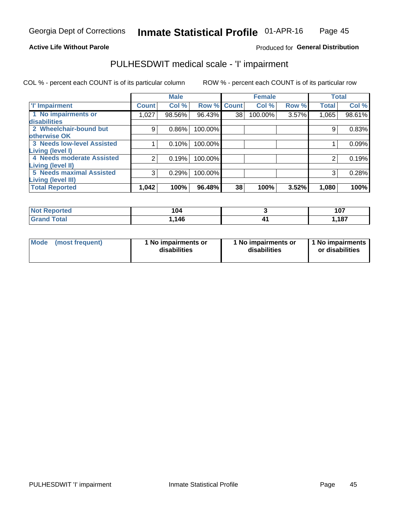### **Active Life Without Parole**

Produced for General Distribution

## PULHESDWIT medical scale - 'I' impairment

COL % - percent each COUNT is of its particular column ROW % - percent each COUNT is of its particular row

|                                                              |              | <b>Male</b> |                    |    | <b>Female</b> |       |              | <b>Total</b> |
|--------------------------------------------------------------|--------------|-------------|--------------------|----|---------------|-------|--------------|--------------|
| <b>T' Impairment</b>                                         | <b>Count</b> | Col %       | <b>Row % Count</b> |    | Col %         | Row % | <b>Total</b> | Col %        |
| 1 No impairments or<br>disabilities                          | 1,027        | 98.56%      | 96.43%             | 38 | 100.00%       | 3.57% | 1,065        | 98.61%       |
| 2 Wheelchair-bound but                                       | 9            | 0.86%       | 100.00%            |    |               |       |              | 0.83%        |
| otherwise OK<br><b>3 Needs low-level Assisted</b>            |              | 0.10%       | 100.00%            |    |               |       |              | 0.09%        |
| Living (level I)<br>4 Needs moderate Assisted                |              | 0.19%       | 100.00%            |    |               |       |              | 0.19%        |
| Living (level II)                                            |              |             |                    |    |               |       |              |              |
| <b>5 Needs maximal Assisted</b><br><b>Living (level III)</b> | 3            | 0.29%       | 100.00%            |    |               |       | 3            | 0.28%        |
| <b>Total Reported</b>                                        | 1,042        | 100%        | 96.48%             | 38 | 100%          | 3.52% | 1,080        | 100%         |

| orted       | 104  | 107  |
|-------------|------|------|
| <b>otal</b> | ,146 | ,187 |

| Mode | (most frequent) | 1 No impairments or<br>disabilities | 1 No impairments or<br>disabilities | 1 No impairments<br>or disabilities |
|------|-----------------|-------------------------------------|-------------------------------------|-------------------------------------|
|------|-----------------|-------------------------------------|-------------------------------------|-------------------------------------|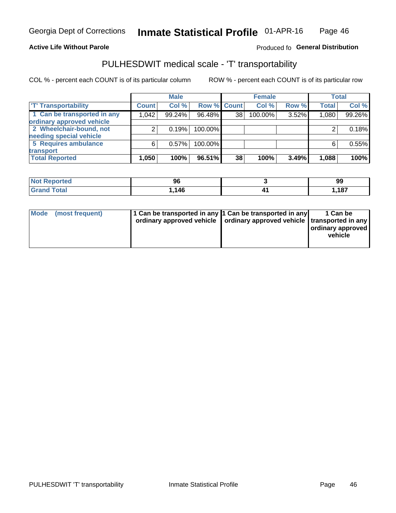### **Active Life Without Parole**

### Produced fo General Distribution

## PULHESDWIT medical scale - 'T' transportability

COL % - percent each COUNT is of its particular column

|                             |              | <b>Male</b> |             |    | <b>Female</b> |       |              | <b>Total</b> |
|-----------------------------|--------------|-------------|-------------|----|---------------|-------|--------------|--------------|
| <b>T' Transportability</b>  | <b>Count</b> | Col %       | Row % Count |    | Col %         | Row % | <b>Total</b> | Col %        |
| 1 Can be transported in any | 1,042        | 99.24%      | 96.48%      | 38 | 100.00%       | 3.52% | 1,080        | 99.26%       |
| ordinary approved vehicle   |              |             |             |    |               |       |              |              |
| 2 Wheelchair-bound, not     |              | 0.19%       | 100.00%     |    |               |       |              | 0.18%        |
| needing special vehicle     |              |             |             |    |               |       |              |              |
| 5 Requires ambulance        | 6            | 0.57%       | 100.00%     |    |               |       |              | 0.55%        |
| transport                   |              |             |             |    |               |       |              |              |
| <b>Total Reported</b>       | 1,050        | 100%        | 96.51%      | 38 | 100%          | 3.49% | 1,088        | 100%         |

| N<br>oortea | 96   | 99              |
|-------------|------|-----------------|
|             | .146 | 407<br>I, I O / |

| Mode (most frequent) | 1 Can be transported in any 1 Can be transported in any | ordinary approved vehicle   ordinary approved vehicle   transported in any | 1 Can be<br>ordinary approved<br>vehicle |
|----------------------|---------------------------------------------------------|----------------------------------------------------------------------------|------------------------------------------|
|                      |                                                         |                                                                            |                                          |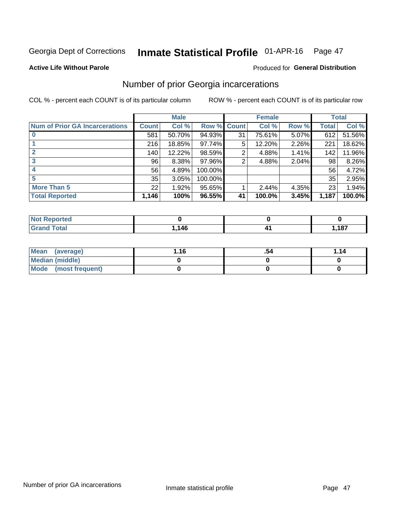#### Inmate Statistical Profile 01-APR-16 Page 47

### **Active Life Without Parole**

### **Produced for General Distribution**

## Number of prior Georgia incarcerations

COL % - percent each COUNT is of its particular column

|                                       |       | <b>Male</b> |             |    | <b>Female</b> |       |       | <b>Total</b> |
|---------------------------------------|-------|-------------|-------------|----|---------------|-------|-------|--------------|
| <b>Num of Prior GA Incarcerations</b> | Count | Col %       | Row % Count |    | Col %         | Row % | Total | Col %        |
|                                       | 581   | 50.70%      | 94.93%      | 31 | 75.61%        | 5.07% | 612   | 51.56%       |
|                                       | 216   | 18.85%      | $97.74\%$   | 5  | 12.20%        | 2.26% | 221   | 18.62%       |
|                                       | 140   | 12.22%      | 98.59%      | 2  | 4.88%         | 1.41% | 142   | 11.96%       |
| 3                                     | 96    | 8.38%       | 97.96%      | 2  | 4.88%         | 2.04% | 98    | 8.26%        |
| 4                                     | 56    | 4.89%       | 100.00%     |    |               |       | 56    | 4.72%        |
| 5                                     | 35    | 3.05%       | 100.00%     |    |               |       | 35    | 2.95%        |
| <b>More Than 5</b>                    | 22    | 1.92%       | $95.65\%$   |    | 2.44%         | 4.35% | 23    | 1.94%        |
| <b>Total Reported</b>                 | 1,146 | 100%        | 96.55%      | 41 | 100.0%        | 3.45% | 1,187 | 100.0%       |

| <b>orteo</b><br><b>NI</b>        |     |       |
|----------------------------------|-----|-------|
| <b>Total</b><br>$\mathbf{v}$ and | 146 | 1,187 |

| Mean (average)       | 1.16 | .54 | 1.14 |
|----------------------|------|-----|------|
| Median (middle)      |      |     |      |
| Mode (most frequent) |      |     |      |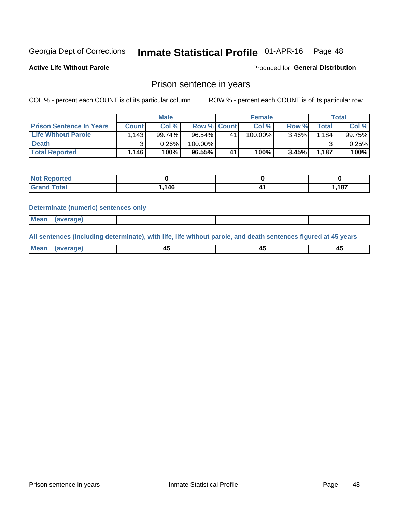#### Inmate Statistical Profile 01-APR-16 Page 48

**Active Life Without Parole** 

Produced for General Distribution

## Prison sentence in years

COL % - percent each COUNT is of its particular column

ROW % - percent each COUNT is of its particular row

|                                 |              | <b>Male</b> |                    |    | <b>Female</b> |       |       | Total           |
|---------------------------------|--------------|-------------|--------------------|----|---------------|-------|-------|-----------------|
| <b>Prison Sentence In Years</b> | <b>Count</b> | Col %       | <b>Row % Count</b> |    | Col %         | Row % | Total | Col %           |
| <b>Life Without Parole</b>      | 1.143        | 99.74%      | $96.54\%$          | 41 | 100.00%       | 3.46% | 1,184 | 99.75% <b>I</b> |
| <b>Death</b>                    |              | 0.26%       | 100.00%            |    |               |       |       | 0.25%           |
| <b>Total Reported</b>           | 1,146        | 100%        | 96.55%             | 41 | 100%          | 3.45% | 1,187 | 100%            |

| <b>ported</b><br><b>NOT</b> |      |                 |
|-----------------------------|------|-----------------|
| <b>Total</b><br>Grat        | .146 | 407<br>I, I O / |

### **Determinate (numeric) sentences only**

| ' Mea<br><b>Service</b> A<br>ЯМА. |  |  |  |
|-----------------------------------|--|--|--|
|                                   |  |  |  |

All sentences (including determinate), with life, life without parole, and death sentences figured at 45 years

| l Mea<br>'ЯМА<br>.<br> | ᠇<br>$\sim$ | $\sim$ |  |
|------------------------|-------------|--------|--|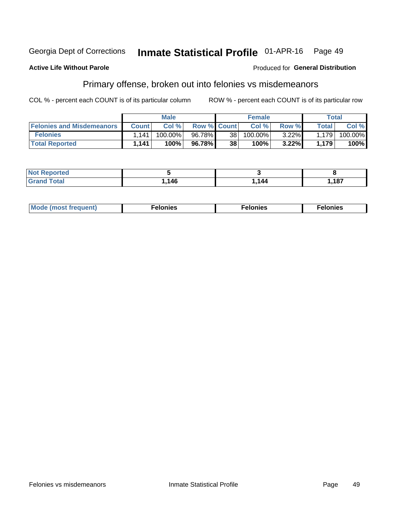#### Inmate Statistical Profile 01-APR-16 Georgia Dept of Corrections Page 49

### **Active Life Without Parole**

### Produced for General Distribution

## Primary offense, broken out into felonies vs misdemeanors

COL % - percent each COUNT is of its particular column

|                                  |              | <b>Male</b> |                    |                 | <b>Female</b> |          |                    | Total   |
|----------------------------------|--------------|-------------|--------------------|-----------------|---------------|----------|--------------------|---------|
| <b>Felonies and Misdemeanors</b> | <b>Count</b> | Col%        | <b>Row % Count</b> |                 | Col%          | Row %    | Total i            | Col %   |
| <b>Felonies</b>                  | 1.141        | 100.00%     | 96.78%             | 38 <sup>2</sup> | 100.00%       | $3.22\%$ | 1.179              | 100.00% |
| <b>Total Reported</b>            | 1,141        | $100\%$     | 96.78%             | 38              | 100%          | 3.22%    | 1.179 <sub>1</sub> | 100%    |

| <b>Not Reported</b>     |              |        |       |
|-------------------------|--------------|--------|-------|
| d Total<br><b>Grand</b> | 116<br>7.140 | 144. ا | 1,187 |

| <b>Mode</b><br>frequent)<br>nies<br>≧ (most tr.<br>. | onies<br>. | lonies<br>енл<br>____ |
|------------------------------------------------------|------------|-----------------------|
|------------------------------------------------------|------------|-----------------------|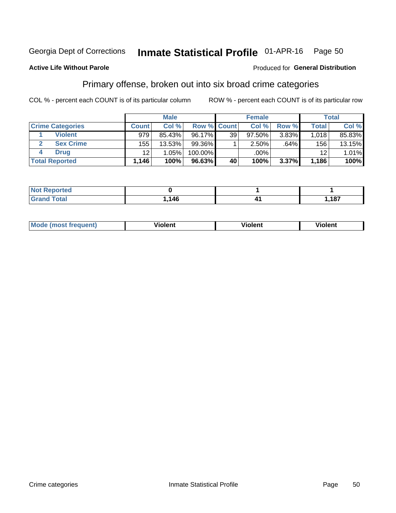#### Inmate Statistical Profile 01-APR-16 Page 50

### **Active Life Without Parole**

### Produced for General Distribution

## Primary offense, broken out into six broad crime categories

COL % - percent each COUNT is of its particular column

|                         |                      | <b>Male</b> |                    |                 | <b>Female</b> |       |                 | Total  |
|-------------------------|----------------------|-------------|--------------------|-----------------|---------------|-------|-----------------|--------|
| <b>Crime Categories</b> | <b>Count</b>         | Col%        | <b>Row % Count</b> |                 | Col %         | Row % | <b>Total</b>    | Col %  |
| <b>Violent</b>          | 979                  | 85.43%      | 96.17%             | 39 <sub>1</sub> | 97.50%        | 3.83% | 1,018           | 85.83% |
| <b>Sex Crime</b>        | 1551                 | 13.53%      | $99.36\%$          |                 | 2.50%         | .64%  | 156             | 13.15% |
| <b>Drug</b>             | 12                   | 1.05%       | 100.00%            |                 | .00%          |       | 12 <sup>2</sup> | 1.01%  |
| <b>Total Reported</b>   | $1,146$ <sup>1</sup> | 100%        | 96.63%             | 40              | 100%          | 3.37% | 1,186           | 100%   |

| rero |     |      |
|------|-----|------|
| -    | 146 | ,187 |

| Mo<br>auenti | --<br>iolent | <br>olent<br>ли | <br>วlent |
|--------------|--------------|-----------------|-----------|
|              |              |                 |           |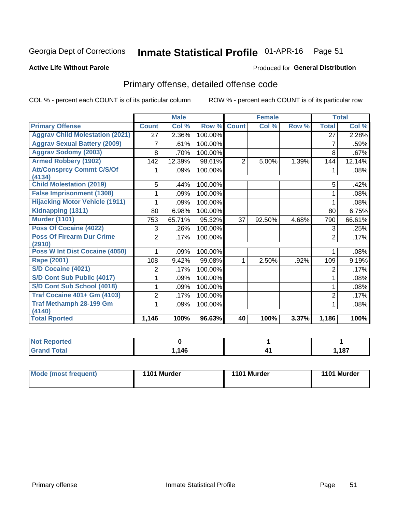#### Inmate Statistical Profile 01-APR-16 Page 51

### **Active Life Without Parole**

### Produced for General Distribution

## Primary offense, detailed offense code

COL % - percent each COUNT is of its particular column

|                                            |                | <b>Male</b> |         |                | <b>Female</b> |       | <b>Total</b>    |        |
|--------------------------------------------|----------------|-------------|---------|----------------|---------------|-------|-----------------|--------|
| <b>Primary Offense</b>                     | <b>Count</b>   | Col %       | Row %   | <b>Count</b>   | Col %         | Row % | <b>Total</b>    | Col %  |
| <b>Aggrav Child Molestation (2021)</b>     | 27             | 2.36%       | 100.00% |                |               |       | $\overline{27}$ | 2.28%  |
| <b>Aggrav Sexual Battery (2009)</b>        | 7              | .61%        | 100.00% |                |               |       | 7               | .59%   |
| <b>Aggrav Sodomy (2003)</b>                | 8              | .70%        | 100.00% |                |               |       | 8               | .67%   |
| <b>Armed Robbery (1902)</b>                | 142            | 12.39%      | 98.61%  | $\overline{2}$ | 5.00%         | 1.39% | 144             | 12.14% |
| <b>Att/Consprcy Commt C/S/Of</b><br>(4134) |                | .09%        | 100.00% |                |               |       |                 | .08%   |
| <b>Child Molestation (2019)</b>            | 5              | .44%        | 100.00% |                |               |       | 5               | .42%   |
| <b>False Imprisonment (1308)</b>           |                | .09%        | 100.00% |                |               |       |                 | .08%   |
| <b>Hijacking Motor Vehicle (1911)</b>      |                | .09%        | 100.00% |                |               |       |                 | .08%   |
| Kidnapping (1311)                          | 80             | 6.98%       | 100.00% |                |               |       | 80              | 6.75%  |
| <b>Murder (1101)</b>                       | 753            | 65.71%      | 95.32%  | 37             | 92.50%        | 4.68% | 790             | 66.61% |
| <b>Poss Of Cocaine (4022)</b>              | 3              | .26%        | 100.00% |                |               |       | 3               | .25%   |
| <b>Poss Of Firearm Dur Crime</b><br>(2910) | $\overline{2}$ | .17%        | 100.00% |                |               |       | $\overline{2}$  | .17%   |
| Poss W Int Dist Cocaine (4050)             |                | .09%        | 100.00% |                |               |       |                 | .08%   |
| <b>Rape (2001)</b>                         | 108            | 9.42%       | 99.08%  | 1              | 2.50%         | .92%  | 109             | 9.19%  |
| <b>S/D Cocaine (4021)</b>                  | 2              | .17%        | 100.00% |                |               |       | 2               | .17%   |
| S/D Cont Sub Public (4017)                 |                | .09%        | 100.00% |                |               |       |                 | .08%   |
| S/D Cont Sub School (4018)                 |                | .09%        | 100.00% |                |               |       |                 | .08%   |
| <b>Traf Cocaine 401+ Gm (4103)</b>         | 2              | .17%        | 100.00% |                |               |       | $\overline{2}$  | .17%   |
| <b>Traf Methamph 28-199 Gm</b><br>(4140)   |                | .09%        | 100.00% |                |               |       |                 | .08%   |
| <b>Total Rported</b>                       | 1,146          | 100%        | 96.63%  | 40             | 100%          | 3.37% | 1,186           | 100%   |

| . |             |      |
|---|-------------|------|
|   | 146<br>$-1$ | ,187 |

| 1101 Murder<br>Mode (most frequent)<br>1101 Murder | 1101 Murder |
|----------------------------------------------------|-------------|
|----------------------------------------------------|-------------|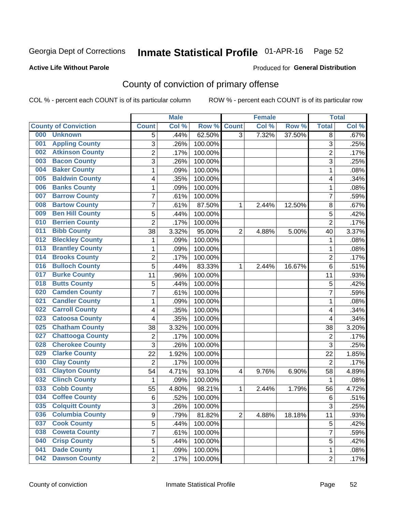## Inmate Statistical Profile 01-APR-16 Page 52

### **Active Life Without Parole**

### Produced for General Distribution

## County of conviction of primary offense

COL % - percent each COUNT is of its particular column

|     |                             |                | <b>Male</b> |         |                | <b>Female</b> |        | <b>Total</b>   |       |
|-----|-----------------------------|----------------|-------------|---------|----------------|---------------|--------|----------------|-------|
|     | <b>County of Conviction</b> | <b>Count</b>   | Col %       | Row %   | <b>Count</b>   | Col %         | Row %  | <b>Total</b>   | Col % |
| 000 | <b>Unknown</b>              | 5              | .44%        | 62.50%  | $\overline{3}$ | 7.32%         | 37.50% | 8              | .67%  |
| 001 | <b>Appling County</b>       | 3              | .26%        | 100.00% |                |               |        | 3              | .25%  |
| 002 | <b>Atkinson County</b>      | $\overline{c}$ | .17%        | 100.00% |                |               |        | $\overline{2}$ | .17%  |
| 003 | <b>Bacon County</b>         | 3              | .26%        | 100.00% |                |               |        | $\overline{3}$ | .25%  |
| 004 | <b>Baker County</b>         | $\mathbf{1}$   | .09%        | 100.00% |                |               |        | $\mathbf{1}$   | .08%  |
| 005 | <b>Baldwin County</b>       | 4              | .35%        | 100.00% |                |               |        | 4              | .34%  |
| 006 | <b>Banks County</b>         | $\mathbf{1}$   | .09%        | 100.00% |                |               |        | 1              | .08%  |
| 007 | <b>Barrow County</b>        | 7              | .61%        | 100.00% |                |               |        | 7              | .59%  |
| 008 | <b>Bartow County</b>        | 7              | .61%        | 87.50%  | 1              | 2.44%         | 12.50% | 8              | .67%  |
| 009 | <b>Ben Hill County</b>      | 5              | .44%        | 100.00% |                |               |        | 5              | .42%  |
| 010 | <b>Berrien County</b>       | $\overline{2}$ | .17%        | 100.00% |                |               |        | $\overline{2}$ | .17%  |
| 011 | <b>Bibb County</b>          | 38             | 3.32%       | 95.00%  | $\overline{2}$ | 4.88%         | 5.00%  | 40             | 3.37% |
| 012 | <b>Bleckley County</b>      | $\mathbf{1}$   | .09%        | 100.00% |                |               |        | $\mathbf{1}$   | .08%  |
| 013 | <b>Brantley County</b>      | $\mathbf{1}$   | .09%        | 100.00% |                |               |        | $\mathbf{1}$   | .08%  |
| 014 | <b>Brooks County</b>        | $\overline{c}$ | .17%        | 100.00% |                |               |        | $\overline{2}$ | .17%  |
| 016 | <b>Bulloch County</b>       | 5              | .44%        | 83.33%  | 1              | 2.44%         | 16.67% | 6              | .51%  |
| 017 | <b>Burke County</b>         | 11             | .96%        | 100.00% |                |               |        | 11             | .93%  |
| 018 | <b>Butts County</b>         | 5              | .44%        | 100.00% |                |               |        | 5              | .42%  |
| 020 | <b>Camden County</b>        | $\overline{7}$ | .61%        | 100.00% |                |               |        | $\overline{7}$ | .59%  |
| 021 | <b>Candler County</b>       | $\mathbf{1}$   | .09%        | 100.00% |                |               |        | $\mathbf{1}$   | .08%  |
| 022 | <b>Carroll County</b>       | 4              | .35%        | 100.00% |                |               |        | 4              | .34%  |
| 023 | <b>Catoosa County</b>       | 4              | .35%        | 100.00% |                |               |        | 4              | .34%  |
| 025 | <b>Chatham County</b>       | 38             | 3.32%       | 100.00% |                |               |        | 38             | 3.20% |
| 027 | <b>Chattooga County</b>     | $\overline{2}$ | .17%        | 100.00% |                |               |        | $\overline{2}$ | .17%  |
| 028 | <b>Cherokee County</b>      | 3              | .26%        | 100.00% |                |               |        | 3              | .25%  |
| 029 | <b>Clarke County</b>        | 22             | 1.92%       | 100.00% |                |               |        | 22             | 1.85% |
| 030 | <b>Clay County</b>          | $\overline{2}$ | .17%        | 100.00% |                |               |        | $\overline{2}$ | .17%  |
| 031 | <b>Clayton County</b>       | 54             | 4.71%       | 93.10%  | 4              | 9.76%         | 6.90%  | 58             | 4.89% |
| 032 | <b>Clinch County</b>        | $\mathbf{1}$   | .09%        | 100.00% |                |               |        | $\mathbf{1}$   | .08%  |
| 033 | <b>Cobb County</b>          | 55             | 4.80%       | 98.21%  | 1              | 2.44%         | 1.79%  | 56             | 4.72% |
| 034 | <b>Coffee County</b>        | $\,6$          | .52%        | 100.00% |                |               |        | 6              | .51%  |
| 035 | <b>Colquitt County</b>      | 3              | .26%        | 100.00% |                |               |        | 3              | .25%  |
| 036 | <b>Columbia County</b>      | 9              | .79%        | 81.82%  | $\overline{2}$ | 4.88%         | 18.18% | 11             | .93%  |
| 037 | <b>Cook County</b>          | 5              | .44%        | 100.00% |                |               |        | 5              | .42%  |
| 038 | <b>Coweta County</b>        | $\overline{7}$ | .61%        | 100.00% |                |               |        | $\overline{7}$ | .59%  |
| 040 | <b>Crisp County</b>         | 5              | .44%        | 100.00% |                |               |        | 5              | .42%  |
| 041 | <b>Dade County</b>          | $\mathbf 1$    | .09%        | 100.00% |                |               |        | $\mathbf 1$    | .08%  |
| 042 | <b>Dawson County</b>        | $\overline{2}$ | .17%        | 100.00% |                |               |        | $\overline{2}$ | .17%  |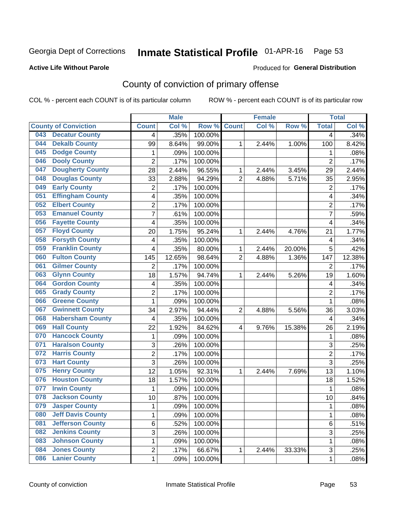## Inmate Statistical Profile 01-APR-16 Page 53

### **Active Life Without Parole**

### Produced for General Distribution

## County of conviction of primary offense

COL % - percent each COUNT is of its particular column

|                             |                          |                         | <b>Male</b> |                  |                | <b>Female</b> |        | <b>Total</b>   |        |
|-----------------------------|--------------------------|-------------------------|-------------|------------------|----------------|---------------|--------|----------------|--------|
| <b>County of Conviction</b> |                          | <b>Count</b>            | Col %       | Row <sup>%</sup> | <b>Count</b>   | Col %         | Row %  | <b>Total</b>   | Col %  |
| 043                         | <b>Decatur County</b>    | 4                       | .35%        | 100.00%          |                |               |        | 4              | .34%   |
| 044                         | <b>Dekalb County</b>     | 99                      | 8.64%       | 99.00%           | 1              | 2.44%         | 1.00%  | 100            | 8.42%  |
| <b>Dodge County</b><br>045  |                          | $\mathbf{1}$            | .09%        | 100.00%          |                |               |        | 1              | .08%   |
| <b>Dooly County</b><br>046  |                          | $\overline{2}$          | .17%        | 100.00%          |                |               |        | $\overline{2}$ | .17%   |
| 047                         | <b>Dougherty County</b>  | 28                      | 2.44%       | 96.55%           | 1              | 2.44%         | 3.45%  | 29             | 2.44%  |
| 048                         | <b>Douglas County</b>    | 33                      | 2.88%       | 94.29%           | $\overline{2}$ | 4.88%         | 5.71%  | 35             | 2.95%  |
| <b>Early County</b><br>049  |                          | $\overline{c}$          | .17%        | 100.00%          |                |               |        | $\overline{2}$ | .17%   |
| 051                         | <b>Effingham County</b>  | 4                       | .35%        | 100.00%          |                |               |        | 4              | .34%   |
| <b>Elbert County</b><br>052 |                          | 2                       | .17%        | 100.00%          |                |               |        | $\overline{2}$ | .17%   |
| 053                         | <b>Emanuel County</b>    | $\overline{7}$          | .61%        | 100.00%          |                |               |        | 7              | .59%   |
| 056                         | <b>Fayette County</b>    | 4                       | .35%        | 100.00%          |                |               |        | 4              | .34%   |
| <b>Floyd County</b><br>057  |                          | 20                      | 1.75%       | 95.24%           | 1              | 2.44%         | 4.76%  | 21             | 1.77%  |
| 058                         | <b>Forsyth County</b>    | 4                       | .35%        | 100.00%          |                |               |        | 4              | .34%   |
| 059                         | <b>Franklin County</b>   | 4                       | .35%        | 80.00%           | 1              | 2.44%         | 20.00% | 5              | .42%   |
| <b>Fulton County</b><br>060 |                          | 145                     | 12.65%      | 98.64%           | $\overline{2}$ | 4.88%         | 1.36%  | 147            | 12.38% |
| 061                         | <b>Gilmer County</b>     | $\overline{2}$          | .17%        | 100.00%          |                |               |        | 2              | .17%   |
| <b>Glynn County</b><br>063  |                          | 18                      | 1.57%       | 94.74%           | 1              | 2.44%         | 5.26%  | 19             | 1.60%  |
| 064                         | <b>Gordon County</b>     | 4                       | .35%        | 100.00%          |                |               |        | 4              | .34%   |
| <b>Grady County</b><br>065  |                          | $\overline{2}$          | .17%        | 100.00%          |                |               |        | $\overline{2}$ | .17%   |
| 066                         | <b>Greene County</b>     | 1                       | .09%        | 100.00%          |                |               |        | $\mathbf{1}$   | .08%   |
| 067                         | <b>Gwinnett County</b>   | 34                      | 2.97%       | 94.44%           | $\overline{2}$ | 4.88%         | 5.56%  | 36             | 3.03%  |
| 068                         | <b>Habersham County</b>  | $\overline{\mathbf{4}}$ | .35%        | 100.00%          |                |               |        | 4              | .34%   |
| <b>Hall County</b><br>069   |                          | 22                      | 1.92%       | 84.62%           | 4              | 9.76%         | 15.38% | 26             | 2.19%  |
| 070                         | <b>Hancock County</b>    | 1                       | .09%        | 100.00%          |                |               |        | 1              | .08%   |
| 071                         | <b>Haralson County</b>   | 3                       | .26%        | 100.00%          |                |               |        | 3              | .25%   |
| <b>Harris County</b><br>072 |                          | $\overline{2}$          | .17%        | 100.00%          |                |               |        | $\overline{2}$ | .17%   |
| <b>Hart County</b><br>073   |                          | 3                       | .26%        | 100.00%          |                |               |        | 3              | .25%   |
| <b>Henry County</b><br>075  |                          | 12                      | 1.05%       | 92.31%           | 1              | 2.44%         | 7.69%  | 13             | 1.10%  |
| 076                         | <b>Houston County</b>    | 18                      | 1.57%       | 100.00%          |                |               |        | 18             | 1.52%  |
| <b>Irwin County</b><br>077  |                          | $\mathbf{1}$            | .09%        | 100.00%          |                |               |        | $\mathbf{1}$   | .08%   |
| 078                         | <b>Jackson County</b>    | 10                      | .87%        | 100.00%          |                |               |        | 10             | .84%   |
| 079                         | <b>Jasper County</b>     | 1                       | .09%        | 100.00%          |                |               |        | 1              | .08%   |
| 080                         | <b>Jeff Davis County</b> | 1                       | .09%        | 100.00%          |                |               |        | $\mathbf{1}$   | .08%   |
| 081                         | <b>Jefferson County</b>  | 6                       | .52%        | 100.00%          |                |               |        | 6              | .51%   |
| 082                         | <b>Jenkins County</b>    | $\overline{3}$          | .26%        | 100.00%          |                |               |        | $\overline{3}$ | .25%   |
| 083                         | <b>Johnson County</b>    | 1                       | .09%        | 100.00%          |                |               |        | 1              | .08%   |
| <b>Jones County</b><br>084  |                          | 2                       | .17%        | 66.67%           | $\mathbf{1}$   | 2.44%         | 33.33% | 3              | .25%   |
| <b>Lanier County</b><br>086 |                          | $\mathbf 1$             | .09%        | 100.00%          |                |               |        | 1              | .08%   |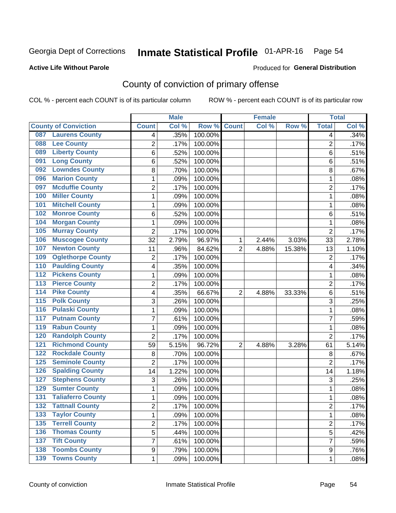## Inmate Statistical Profile 01-APR-16 Page 54

### **Active Life Without Parole**

### Produced for General Distribution

## County of conviction of primary offense

COL % - percent each COUNT is of its particular column

|                                           |                | <b>Male</b> |         |                | <b>Female</b> |        |                | <b>Total</b> |
|-------------------------------------------|----------------|-------------|---------|----------------|---------------|--------|----------------|--------------|
| <b>County of Conviction</b>               | <b>Count</b>   | Col %       | Row %   | <b>Count</b>   | Col %         | Row %  | <b>Total</b>   | Col %        |
| <b>Laurens County</b><br>087              | 4              | .35%        | 100.00% |                |               |        | 4              | .34%         |
| <b>Lee County</b><br>088                  | 2              | .17%        | 100.00% |                |               |        | $\overline{2}$ | .17%         |
| <b>Liberty County</b><br>089              | 6              | .52%        | 100.00% |                |               |        | 6              | .51%         |
| <b>Long County</b><br>091                 | 6              | .52%        | 100.00% |                |               |        | 6              | .51%         |
| <b>Lowndes County</b><br>092              | 8              | .70%        | 100.00% |                |               |        | 8              | .67%         |
| <b>Marion County</b><br>096               | 1              | .09%        | 100.00% |                |               |        | $\mathbf{1}$   | .08%         |
| <b>Mcduffie County</b><br>097             | $\overline{c}$ | .17%        | 100.00% |                |               |        | $\overline{2}$ | .17%         |
| <b>Miller County</b><br>100               | 1              | .09%        | 100.00% |                |               |        | $\mathbf{1}$   | .08%         |
| <b>Mitchell County</b><br>101             | 1              | .09%        | 100.00% |                |               |        | 1              | .08%         |
| <b>Monroe County</b><br>102               | 6              | .52%        | 100.00% |                |               |        | 6              | .51%         |
| <b>Morgan County</b><br>104               | 1              | .09%        | 100.00% |                |               |        | 1              | .08%         |
| <b>Murray County</b><br>105               | $\overline{2}$ | .17%        | 100.00% |                |               |        | $\overline{2}$ | .17%         |
| <b>Muscogee County</b><br>106             | 32             | 2.79%       | 96.97%  | 1              | 2.44%         | 3.03%  | 33             | 2.78%        |
| <b>Newton County</b><br>107               | 11             | .96%        | 84.62%  | $\overline{2}$ | 4.88%         | 15.38% | 13             | 1.10%        |
| <b>Oglethorpe County</b><br>109           | 2              | .17%        | 100.00% |                |               |        | $\overline{2}$ | .17%         |
| <b>Paulding County</b><br>110             | 4              | .35%        | 100.00% |                |               |        | 4              | .34%         |
| <b>Pickens County</b><br>$\overline{112}$ | 1              | .09%        | 100.00% |                |               |        | 1              | .08%         |
| <b>Pierce County</b><br>$\overline{113}$  | 2              | .17%        | 100.00% |                |               |        | $\overline{2}$ | .17%         |
| <b>Pike County</b><br>$\overline{114}$    | 4              | .35%        | 66.67%  | $\overline{2}$ | 4.88%         | 33.33% | 6              | .51%         |
| <b>Polk County</b><br>$\overline{115}$    | 3              | .26%        | 100.00% |                |               |        | 3              | .25%         |
| <b>Pulaski County</b><br>116              | 1              | .09%        | 100.00% |                |               |        | $\mathbf{1}$   | .08%         |
| <b>Putnam County</b><br>117               | 7              | .61%        | 100.00% |                |               |        | 7              | .59%         |
| <b>Rabun County</b><br>119                | 1              | .09%        | 100.00% |                |               |        | $\mathbf{1}$   | .08%         |
| <b>Randolph County</b><br>120             | $\overline{2}$ | .17%        | 100.00% |                |               |        | $\overline{2}$ | .17%         |
| <b>Richmond County</b><br>121             | 59             | 5.15%       | 96.72%  | $\overline{2}$ | 4.88%         | 3.28%  | 61             | 5.14%        |
| <b>Rockdale County</b><br>122             | 8              | .70%        | 100.00% |                |               |        | 8              | .67%         |
| <b>Seminole County</b><br>125             | $\overline{2}$ | .17%        | 100.00% |                |               |        | $\overline{2}$ | .17%         |
| <b>Spalding County</b><br>126             | 14             | 1.22%       | 100.00% |                |               |        | 14             | 1.18%        |
| <b>Stephens County</b><br>127             | 3              | .26%        | 100.00% |                |               |        | 3              | .25%         |
| <b>Sumter County</b><br>129               | 1              | .09%        | 100.00% |                |               |        | $\mathbf{1}$   | .08%         |
| <b>Taliaferro County</b><br>131           | 1              | .09%        | 100.00% |                |               |        | 1              | .08%         |
| <b>Tattnall County</b><br>132             | 2              | .17%        | 100.00% |                |               |        | 2              | .17%         |
| <b>Taylor County</b><br>133               | 1              | .09%        | 100.00% |                |               |        | $\mathbf{1}$   | .08%         |
| <b>Terrell County</b><br>135              | $\overline{2}$ | .17%        | 100.00% |                |               |        | $\overline{2}$ | .17%         |
| <b>Thomas County</b><br>136               | 5              | .44%        | 100.00% |                |               |        | 5              | .42%         |
| <b>Tift County</b><br>137                 | 7              | .61%        | 100.00% |                |               |        | 7              | .59%         |
| <b>Toombs County</b><br>138               | 9              | .79%        | 100.00% |                |               |        | 9              | .76%         |
| 139 Towns County                          | $\mathbf{1}$   | .09%        | 100.00% |                |               |        | $\mathbf{1}$   | .08%         |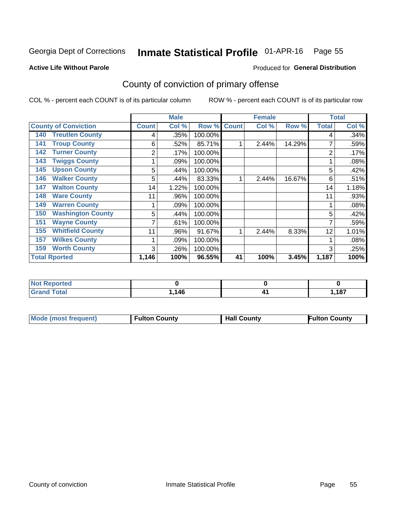## Inmate Statistical Profile 01-APR-16 Page 55

**Produced for General Distribution** 

### **Active Life Without Parole**

## County of conviction of primary offense

COL % - percent each COUNT is of its particular column

|                                 |              | <b>Male</b> |         |              | <b>Female</b> |        | <b>Total</b> |       |
|---------------------------------|--------------|-------------|---------|--------------|---------------|--------|--------------|-------|
| <b>County of Conviction</b>     | <b>Count</b> | Col %       | Row %   | <b>Count</b> | Col %         | Row %  | <b>Total</b> | Col % |
| <b>Treutlen County</b><br>140   | 4            | .35%        | 100.00% |              |               |        | 4            | .34%  |
| <b>Troup County</b><br>141      | 6            | .52%        | 85.71%  |              | 2.44%         | 14.29% |              | .59%  |
| <b>Turner County</b><br>142     | 2            | .17%        | 100.00% |              |               |        | 2            | .17%  |
| <b>Twiggs County</b><br>143     |              | .09%        | 100.00% |              |               |        |              | .08%  |
| <b>Upson County</b><br>145      | 5            | .44%        | 100.00% |              |               |        | 5            | .42%  |
| <b>Walker County</b><br>146     | 5            | .44%        | 83.33%  | 1            | 2.44%         | 16.67% | 6            | .51%  |
| <b>Walton County</b><br>147     | 14           | 1.22%       | 100.00% |              |               |        | 14           | 1.18% |
| <b>Ware County</b><br>148       | 11           | .96%        | 100.00% |              |               |        | 11           | .93%  |
| <b>Warren County</b><br>149     |              | .09%        | 100.00% |              |               |        |              | .08%  |
| <b>Washington County</b><br>150 | 5            | .44%        | 100.00% |              |               |        | 5            | .42%  |
| <b>Wayne County</b><br>151      | 7            | .61%        | 100.00% |              |               |        | 7            | .59%  |
| <b>Whitfield County</b><br>155  | 11           | .96%        | 91.67%  |              | 2.44%         | 8.33%  | 12           | 1.01% |
| <b>Wilkes County</b><br>157     |              | .09%        | 100.00% |              |               |        |              | .08%  |
| <b>Worth County</b><br>159      | 3            | .26%        | 100.00% |              |               |        | 3            | .25%  |
| <b>Total Rported</b>            | 1,146        | 100%        | 96.55%  | 41           | 100%          | 3.45%  | 1,187        | 100%  |

| <b>eported</b><br>NO         |      |                        |
|------------------------------|------|------------------------|
| <b>Total</b><br><b>Grand</b> | ,146 | <b>407</b><br>I. I O 1 |

| <b>Mode (most frequent)</b> | <b>Fulton County</b> | <b>Hall County</b> | <b>Fulton County</b> |
|-----------------------------|----------------------|--------------------|----------------------|
|                             |                      |                    |                      |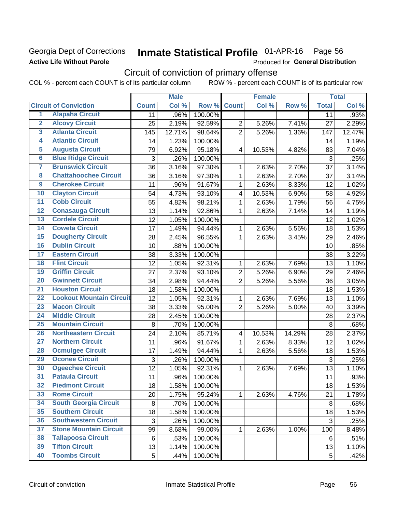## Georgia Dept of Corrections **Active Life Without Parole**

#### Inmate Statistical Profile 01-APR-16 Page 56

Produced for General Distribution

## Circuit of conviction of primary offense

COL % - percent each COUNT is of its particular column ROW % - percent each COUNT is of its particular row

|                         |                                 |              | <b>Male</b> |         |                         | <b>Female</b> |        | <b>Total</b> |        |
|-------------------------|---------------------------------|--------------|-------------|---------|-------------------------|---------------|--------|--------------|--------|
|                         | <b>Circuit of Conviction</b>    | <b>Count</b> | Col %       | Row %   | <b>Count</b>            | Col %         | Row %  | <b>Total</b> | Col %  |
| 1                       | <b>Alapaha Circuit</b>          | 11           | .96%        | 100.00% |                         |               |        | 11           | .93%   |
| $\overline{2}$          | <b>Alcovy Circuit</b>           | 25           | 2.19%       | 92.59%  | $\overline{2}$          | 5.26%         | 7.41%  | 27           | 2.29%  |
| $\overline{3}$          | <b>Atlanta Circuit</b>          | 145          | 12.71%      | 98.64%  | $\overline{2}$          | 5.26%         | 1.36%  | 147          | 12.47% |
| 4                       | <b>Atlantic Circuit</b>         | 14           | 1.23%       | 100.00% |                         |               |        | 14           | 1.19%  |
| $\overline{5}$          | <b>Augusta Circuit</b>          | 79           | 6.92%       | 95.18%  | $\overline{4}$          | 10.53%        | 4.82%  | 83           | 7.04%  |
| $\overline{\bf{6}}$     | <b>Blue Ridge Circuit</b>       | 3            | .26%        | 100.00% |                         |               |        | 3            | .25%   |
| 7                       | <b>Brunswick Circuit</b>        | 36           | 3.16%       | 97.30%  | 1                       | 2.63%         | 2.70%  | 37           | 3.14%  |
| $\overline{\mathbf{8}}$ | <b>Chattahoochee Circuit</b>    | 36           | 3.16%       | 97.30%  | 1                       | 2.63%         | 2.70%  | 37           | 3.14%  |
| $\overline{9}$          | <b>Cherokee Circuit</b>         | 11           | .96%        | 91.67%  | 1                       | 2.63%         | 8.33%  | 12           | 1.02%  |
| 10                      | <b>Clayton Circuit</b>          | 54           | 4.73%       | 93.10%  | 4                       | 10.53%        | 6.90%  | 58           | 4.92%  |
| $\overline{11}$         | <b>Cobb Circuit</b>             | 55           | 4.82%       | 98.21%  | $\mathbf{1}$            | 2.63%         | 1.79%  | 56           | 4.75%  |
| $\overline{12}$         | <b>Conasauga Circuit</b>        | 13           | 1.14%       | 92.86%  | 1                       | 2.63%         | 7.14%  | 14           | 1.19%  |
| 13                      | <b>Cordele Circuit</b>          | 12           | 1.05%       | 100.00% |                         |               |        | 12           | 1.02%  |
| 14                      | <b>Coweta Circuit</b>           | 17           | 1.49%       | 94.44%  | 1                       | 2.63%         | 5.56%  | 18           | 1.53%  |
| $\overline{15}$         | <b>Dougherty Circuit</b>        | 28           | 2.45%       | 96.55%  | 1                       | 2.63%         | 3.45%  | 29           | 2.46%  |
| 16                      | <b>Dublin Circuit</b>           | 10           | .88%        | 100.00% |                         |               |        | 10           | .85%   |
| 17                      | <b>Eastern Circuit</b>          | 38           | 3.33%       | 100.00% |                         |               |        | 38           | 3.22%  |
| $\overline{18}$         | <b>Flint Circuit</b>            | 12           | 1.05%       | 92.31%  | 1                       | 2.63%         | 7.69%  | 13           | 1.10%  |
| 19                      | <b>Griffin Circuit</b>          | 27           | 2.37%       | 93.10%  | $\overline{2}$          | 5.26%         | 6.90%  | 29           | 2.46%  |
| $\overline{20}$         | <b>Gwinnett Circuit</b>         | 34           | 2.98%       | 94.44%  | $\overline{2}$          | 5.26%         | 5.56%  | 36           | 3.05%  |
| $\overline{21}$         | <b>Houston Circuit</b>          | 18           | 1.58%       | 100.00% |                         |               |        | 18           | 1.53%  |
| $\overline{22}$         | <b>Lookout Mountain Circuit</b> | 12           | 1.05%       | 92.31%  | 1                       | 2.63%         | 7.69%  | 13           | 1.10%  |
| 23                      | <b>Macon Circuit</b>            | 38           | 3.33%       | 95.00%  | $\overline{2}$          | 5.26%         | 5.00%  | 40           | 3.39%  |
| $\overline{24}$         | <b>Middle Circuit</b>           | 28           | 2.45%       | 100.00% |                         |               |        | 28           | 2.37%  |
| $\overline{25}$         | <b>Mountain Circuit</b>         | 8            | .70%        | 100.00% |                         |               |        | $\,8\,$      | .68%   |
| 26                      | <b>Northeastern Circuit</b>     | 24           | 2.10%       | 85.71%  | $\overline{\mathbf{4}}$ | 10.53%        | 14.29% | 28           | 2.37%  |
| $\overline{27}$         | <b>Northern Circuit</b>         | 11           | .96%        | 91.67%  | 1                       | 2.63%         | 8.33%  | 12           | 1.02%  |
| 28                      | <b>Ocmulgee Circuit</b>         | 17           | 1.49%       | 94.44%  | 1                       | 2.63%         | 5.56%  | 18           | 1.53%  |
| 29                      | <b>Oconee Circuit</b>           | 3            | .26%        | 100.00% |                         |               |        | 3            | .25%   |
| 30                      | <b>Ogeechee Circuit</b>         | 12           | 1.05%       | 92.31%  | 1                       | 2.63%         | 7.69%  | 13           | 1.10%  |
| $\overline{31}$         | <b>Pataula Circuit</b>          | 11           | .96%        | 100.00% |                         |               |        | 11           | .93%   |
| 32                      | <b>Piedmont Circuit</b>         | 18           | 1.58%       | 100.00% |                         |               |        | 18           | 1.53%  |
| 33                      | <b>Rome Circuit</b>             | 20           | 1.75%       | 95.24%  | $\mathbf{1}$            | 2.63%         | 4.76%  | 21           | 1.78%  |
| 34                      | <b>South Georgia Circuit</b>    | 8            | .70%        | 100.00% |                         |               |        | 8            | .68%   |
| 35                      | <b>Southern Circuit</b>         | 18           | 1.58%       | 100.00% |                         |               |        | 18           | 1.53%  |
| 36                      | <b>Southwestern Circuit</b>     | 3            | .26%        | 100.00% |                         |               |        | 3            | .25%   |
| 37                      | <b>Stone Mountain Circuit</b>   | 99           | 8.68%       | 99.00%  | 1                       | 2.63%         | 1.00%  | 100          | 8.48%  |
| 38                      | <b>Tallapoosa Circuit</b>       | 6            | .53%        | 100.00% |                         |               |        | 6            | .51%   |
| 39                      | <b>Tifton Circuit</b>           | 13           | 1.14%       | 100.00% |                         |               |        | 13           | 1.10%  |
| 40                      | <b>Toombs Circuit</b>           | 5            | .44%        | 100.00% |                         |               |        | 5            | .42%   |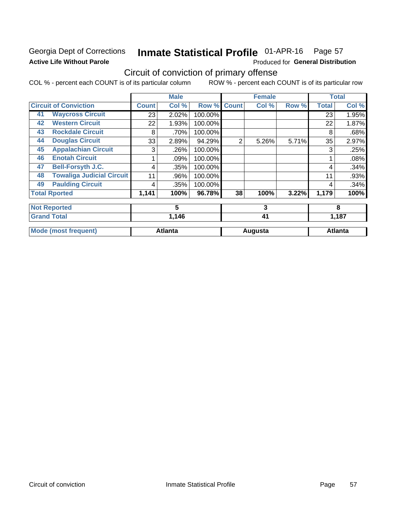## Georgia Dept of Corrections **Active Life Without Parole**

#### Inmate Statistical Profile 01-APR-16 Page 57

Produced for General Distribution

## Circuit of conviction of primary offense

COL % - percent each COUNT is of its particular column ROW % - percent each COUNT is of its particular row

|    |                                  |       | <b>Male</b>    |         |                | <b>Female</b> |       |              | <b>Total</b>   |  |
|----|----------------------------------|-------|----------------|---------|----------------|---------------|-------|--------------|----------------|--|
|    | <b>Circuit of Conviction</b>     | Count | Col %          | Row %   | <b>Count</b>   | Col %         | Row % | <b>Total</b> | Col %          |  |
| 41 | <b>Waycross Circuit</b>          | 23    | 2.02%          | 100.00% |                |               |       | 23           | 1.95%          |  |
| 42 | <b>Western Circuit</b>           | 22    | 1.93%          | 100.00% |                |               |       | 22           | 1.87%          |  |
| 43 | <b>Rockdale Circuit</b>          | 8     | .70%           | 100.00% |                |               |       | 8            | .68%           |  |
| 44 | <b>Douglas Circuit</b>           | 33    | 2.89%          | 94.29%  | $\overline{2}$ | 5.26%         | 5.71% | 35           | 2.97%          |  |
| 45 | <b>Appalachian Circuit</b>       | 3     | .26%           | 100.00% |                |               |       | 3            | .25%           |  |
| 46 | <b>Enotah Circuit</b>            |       | .09%           | 100.00% |                |               |       |              | .08%           |  |
| 47 | <b>Bell-Forsyth J.C.</b>         | 4     | .35%           | 100.00% |                |               |       | 4            | .34%           |  |
| 48 | <b>Towaliga Judicial Circuit</b> | 11    | .96%           | 100.00% |                |               |       | 11           | .93%           |  |
| 49 | <b>Paulding Circuit</b>          | 4     | .35%           | 100.00% |                |               |       | 4            | .34%           |  |
|    | <b>Total Rported</b>             | 1,141 | 100%           | 96.78%  | 38             | 100%          | 3.22% | 1,179        | 100%           |  |
|    | <b>Not Reported</b>              |       | 5              |         | 3              |               |       | 8            |                |  |
|    | <b>Grand Total</b>               |       | 1,146          |         |                | 41            |       |              | 1,187          |  |
|    | <b>Mode (most frequent)</b>      |       | <b>Atlanta</b> |         |                | Augusta       |       |              | <b>Atlanta</b> |  |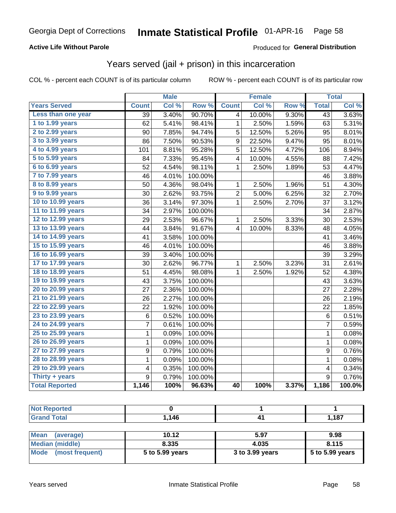## **Active Life Without Parole**

## Produced for General Distribution

## Years served (jail + prison) in this incarceration

COL % - percent each COUNT is of its particular column

|                       |                 | <b>Male</b> |         |                | <b>Female</b> |       |                 | <b>Total</b> |
|-----------------------|-----------------|-------------|---------|----------------|---------------|-------|-----------------|--------------|
| <b>Years Served</b>   | <b>Count</b>    | Col %       | Row %   | <b>Count</b>   | Col %         | Row % | <b>Total</b>    | Col %        |
| Less than one year    | $\overline{39}$ | 3.40%       | 90.70%  | 4              | 10.00%        | 9.30% | $\overline{43}$ | 3.63%        |
| 1 to 1.99 years       | 62              | 5.41%       | 98.41%  | 1              | 2.50%         | 1.59% | 63              | 5.31%        |
| 2 to 2.99 years       | 90              | 7.85%       | 94.74%  | 5              | 12.50%        | 5.26% | 95              | 8.01%        |
| 3 to 3.99 years       | 86              | 7.50%       | 90.53%  | 9              | 22.50%        | 9.47% | 95              | 8.01%        |
| 4 to 4.99 years       | 101             | 8.81%       | 95.28%  | $\overline{5}$ | 12.50%        | 4.72% | 106             | 8.94%        |
| 5 to 5.99 years       | 84              | 7.33%       | 95.45%  | 4              | 10.00%        | 4.55% | 88              | 7.42%        |
| 6 to 6.99 years       | 52              | 4.54%       | 98.11%  | 1              | 2.50%         | 1.89% | 53              | 4.47%        |
| 7 to 7.99 years       | 46              | 4.01%       | 100.00% |                |               |       | 46              | 3.88%        |
| 8 to 8.99 years       | 50              | 4.36%       | 98.04%  | 1              | 2.50%         | 1.96% | 51              | 4.30%        |
| 9 to 9.99 years       | 30              | 2.62%       | 93.75%  | $\overline{c}$ | 5.00%         | 6.25% | 32              | 2.70%        |
| 10 to 10.99 years     | 36              | 3.14%       | 97.30%  | 1              | 2.50%         | 2.70% | 37              | 3.12%        |
| 11 to 11.99 years     | 34              | 2.97%       | 100.00% |                |               |       | 34              | 2.87%        |
| 12 to 12.99 years     | 29              | 2.53%       | 96.67%  | 1              | 2.50%         | 3.33% | 30              | 2.53%        |
| 13 to 13.99 years     | 44              | 3.84%       | 91.67%  | 4              | 10.00%        | 8.33% | 48              | 4.05%        |
| 14 to 14.99 years     | 41              | 3.58%       | 100.00% |                |               |       | 41              | 3.46%        |
| 15 to 15.99 years     | 46              | 4.01%       | 100.00% |                |               |       | 46              | 3.88%        |
| 16 to 16.99 years     | 39              | 3.40%       | 100.00% |                |               |       | 39              | 3.29%        |
| 17 to 17.99 years     | 30              | 2.62%       | 96.77%  | 1              | 2.50%         | 3.23% | 31              | 2.61%        |
| 18 to 18.99 years     | 51              | 4.45%       | 98.08%  | 1              | 2.50%         | 1.92% | 52              | 4.38%        |
| 19 to 19.99 years     | 43              | 3.75%       | 100.00% |                |               |       | 43              | 3.63%        |
| 20 to 20.99 years     | 27              | 2.36%       | 100.00% |                |               |       | 27              | 2.28%        |
| 21 to 21.99 years     | 26              | 2.27%       | 100.00% |                |               |       | 26              | 2.19%        |
| 22 to 22.99 years     | 22              | 1.92%       | 100.00% |                |               |       | 22              | 1.85%        |
| 23 to 23.99 years     | 6               | 0.52%       | 100.00% |                |               |       | 6               | 0.51%        |
| 24 to 24.99 years     | 7               | 0.61%       | 100.00% |                |               |       | 7               | 0.59%        |
| 25 to 25.99 years     | 1               | 0.09%       | 100.00% |                |               |       | 1               | 0.08%        |
| 26 to 26.99 years     | 1               | 0.09%       | 100.00% |                |               |       | 1               | 0.08%        |
| 27 to 27.99 years     | 9               | 0.79%       | 100.00% |                |               |       | 9               | 0.76%        |
| 28 to 28.99 years     | 1               | 0.09%       | 100.00% |                |               |       | 1               | 0.08%        |
| 29 to 29.99 years     | 4               | 0.35%       | 100.00% |                |               |       | 4               | 0.34%        |
| Thirty + years        | 9               | 0.79%       | 100.00% |                |               |       | 9               | 0.76%        |
| <b>Total Reported</b> | 1,146           | 100%        | 96.63%  | 40             | 100%          | 3.37% | 1,186           | 100.0%       |

| rtea :             |       |       |
|--------------------|-------|-------|
| <b>otal</b><br>--- | 146.ا | 1,187 |

| <b>Mean</b><br>(average) | 10.12           | 5.97            | 9.98            |
|--------------------------|-----------------|-----------------|-----------------|
| Median (middle)          | 8.335           | 4.035           | 8.115           |
| Mode (most frequent)     | 5 to 5.99 years | 3 to 3.99 years | 5 to 5.99 years |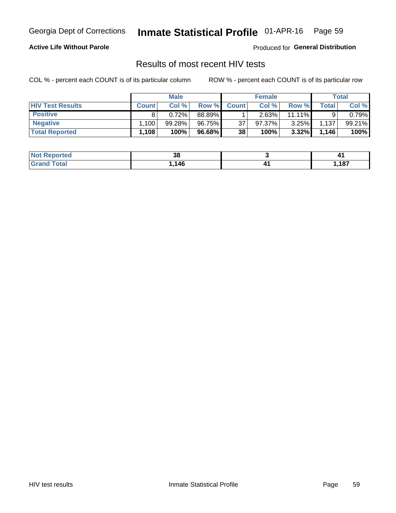#### Inmate Statistical Profile 01-APR-16 Page 59

### **Active Life Without Parole**

Produced for General Distribution

## Results of most recent HIV tests

COL % - percent each COUNT is of its particular column

|                         |              | <b>Male</b> |        |              | <b>Female</b> |           |             | Total  |
|-------------------------|--------------|-------------|--------|--------------|---------------|-----------|-------------|--------|
| <b>HIV Test Results</b> | <b>Count</b> | Col%        | Row %  | <b>Count</b> | Col %         | Row %I    | $\tau$ otal | Col %  |
| <b>Positive</b>         |              | 0.72%       | 88.89% |              | 2.63%         | $11.11\%$ |             | 0.79%  |
| <b>Negative</b>         | .100         | 99.28%      | 96.75% | 37           | $97.37\%$     | 3.25%     | 1,137       | 99.21% |
| <b>Total Reported</b>   | $.108^\circ$ | 100%        | 96.68% | 38           | 100%          | 3.32%     | 1,146       | 100%   |

| <b>Not Reported</b>   | າດ<br>၁၀ |      |
|-----------------------|----------|------|
| <b>Total</b><br>Grand | 146      | ,187 |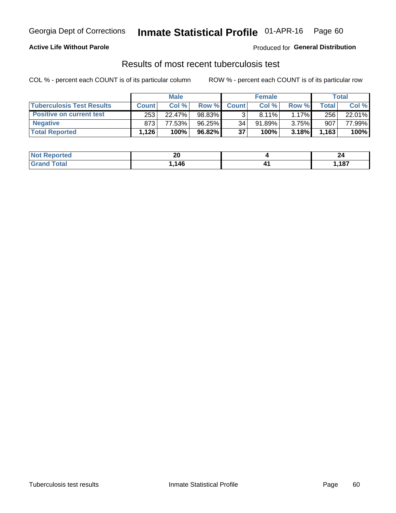## Georgia Dept of Corrections **Inmate Statistical Profile** 01-APR-16 Page 60

### **Active Life Without Parole**

Produced for **General Distribution**

## Results of most recent tuberculosis test

COL % - percent each COUNT is of its particular column ROW % - percent each COUNT is of its particular row

|                                  | <b>Male</b>  |        |           | <b>Female</b> |           |          | Total   |        |
|----------------------------------|--------------|--------|-----------|---------------|-----------|----------|---------|--------|
| <b>Tuberculosis Test Results</b> | <b>Count</b> | Col%   | Row %I    | <b>Count</b>  | Col %     | Row %I   | Total I | Col %  |
| <b>Positive on current test</b>  | 253          | 22.47% | 98.83%    |               | 8.11%     | $1.17\%$ | 256     | 22.01% |
| <b>Negative</b>                  | 873          | 77.53% | $96.25\%$ | 34            | $91.89\%$ | 3.75%    | 907     | 77.99% |
| <b>Total Reported</b>            | ْ 126.       | 100%   | 96.82%    | 37            | 100%      | 3.18%    | 1,163   | 100%   |

| <b>Not Reported</b>           | nr<br>ZU | $ -$  |
|-------------------------------|----------|-------|
| <b>Total</b><br>$C$ ro $\sim$ | 146      | 1,187 |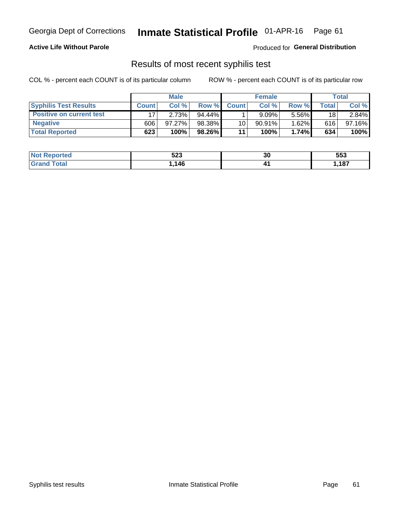## Georgia Dept of Corrections **Inmate Statistical Profile** 01-APR-16 Page 61

### **Active Life Without Parole**

Produced for **General Distribution**

## Results of most recent syphilis test

COL % - percent each COUNT is of its particular column ROW % - percent each COUNT is of its particular row

|                                 | <b>Male</b>  |           |           | <b>Female</b>   |           |          | Total       |        |
|---------------------------------|--------------|-----------|-----------|-----------------|-----------|----------|-------------|--------|
| <b>Syphilis Test Results</b>    | <b>Count</b> | Col%      | Row %I    | <b>Count</b>    | Col%      | Row %    | $\tau$ otal | Col %  |
| <b>Positive on current test</b> |              | 2.73%     | $94.44\%$ |                 | 9.09%     | 5.56%    | 18          | 2.84%  |
| <b>Negative</b>                 | 606          | $97.27\%$ | 98.38%    | 10 <sub>1</sub> | $90.91\%$ | $1.62\%$ | 616         | 97.16% |
| <b>Total Reported</b>           | 623          | 100%      | 98.26%    | 11              | 100%      | 1.74%    | 634         | 100%   |

| <b>Not Reported</b> | こへへ<br>ວ∠ວ | 30 | 553  |
|---------------------|------------|----|------|
| <b>Total</b>        | 146        |    | ,187 |